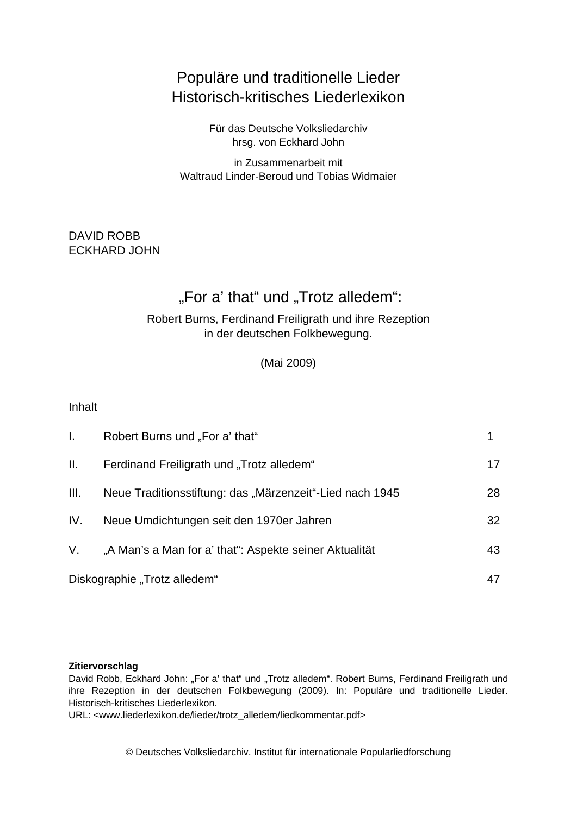# Populäre und traditionelle Lieder Historisch-kritisches Liederlexikon

Für das Deutsche Volksliedarchiv hrsg. von Eckhard John

in Zusammenarbeit mit Waltraud Linder-Beroud und Tobias Widmaier

### DAVID ROBB ECKHARD JOHN

# "For a' that" und "Trotz alledem":

### Robert Burns, Ferdinand Freiligrath und ihre Rezeption in der deutschen Folkbewegung.

(Mai 2009)

Inhalt

| $\mathbf{L}$                 | Robert Burns und "For a' that"                           |    |
|------------------------------|----------------------------------------------------------|----|
| H.                           | Ferdinand Freiligrath und "Trotz alledem"                | 17 |
| III.                         | Neue Traditionsstiftung: das "Märzenzeit"-Lied nach 1945 | 28 |
| IV.                          | Neue Umdichtungen seit den 1970er Jahren                 | 32 |
| V.                           | "A Man's a Man for a' that": Aspekte seiner Aktualität   | 43 |
| Diskographie "Trotz alledem" |                                                          | 47 |

#### **Zitiervorschlag**

David Robb, Eckhard John: "For a' that" und "Trotz alledem". Robert Burns, Ferdinand Freiligrath und ihre Rezeption in der deutschen Folkbewegung (2009). In: Populäre und traditionelle Lieder. Historisch-kritisches Liederlexikon.

URL: <www.liederlexikon.de/lieder/trotz\_alledem/liedkommentar.pdf>

© Deutsches Volksliedarchiv. Institut für internationale Popularliedforschung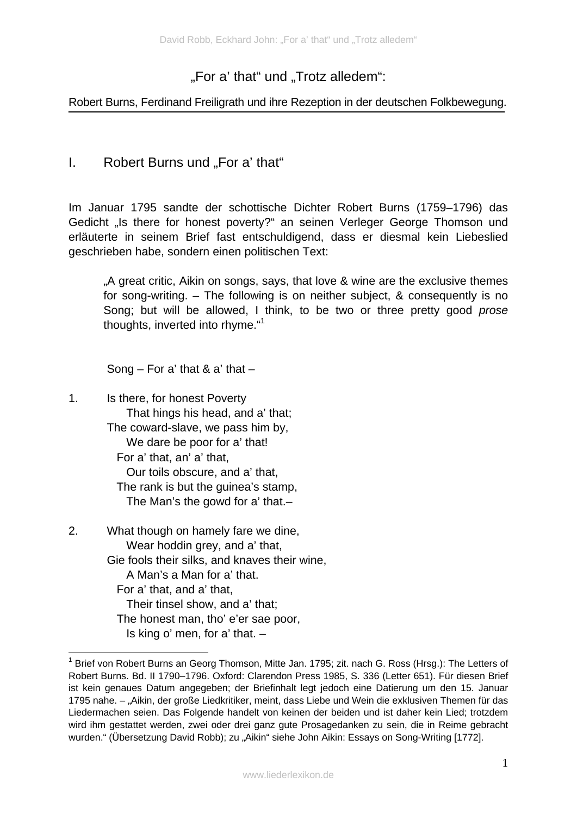# "For a' that" und "Trotz alledem":

#### Robert Burns, Ferdinand Freiligrath und ihre Rezeption in der deutschen Folkbewegung.

### I. Robert Burns und "For a' that"

Im Januar 1795 sandte der schottische Dichter Robert Burns (1759–1796) das Gedicht "Is there for honest poverty?" an seinen Verleger George Thomson und erläuterte in seinem Brief fast entschuldigend, dass er diesmal kein Liebeslied geschrieben habe, sondern einen politischen Text:

..A great critic, Aikin on songs, says, that love & wine are the exclusive themes for song-writing. – The following is on neither subject, & consequently is no Song; but will be allowed, I think, to be two or three pretty good *prose*  thoughts, inverted into rhyme."<sup>1</sup>

Song – For a' that & a' that –

- 1. Is there, for honest Poverty That hings his head, and a' that; The coward-slave, we pass him by, We dare be poor for a' that! For a' that, an' a' that, Our toils obscure, and a' that, The rank is but the guinea's stamp, The Man's the gowd for a' that.–
- 2. What though on hamely fare we dine, Wear hoddin grey, and a' that, Gie fools their silks, and knaves their wine, A Man's a Man for a' that. For a' that, and a' that, Their tinsel show, and a' that; The honest man, tho' e'er sae poor, Is king o' men, for a' that. –

1

<sup>&</sup>lt;sup>1</sup> Brief von Robert Burns an Georg Thomson, Mitte Jan. 1795; zit. nach G. Ross (Hrsg.): The Letters of Robert Burns. Bd. II 1790–1796. Oxford: Clarendon Press 1985, S. 336 (Letter 651). Für diesen Brief ist kein genaues Datum angegeben; der Briefinhalt legt jedoch eine Datierung um den 15. Januar 1795 nahe. – "Aikin, der große Liedkritiker, meint, dass Liebe und Wein die exklusiven Themen für das Liedermachen seien. Das Folgende handelt von keinen der beiden und ist daher kein Lied; trotzdem wird ihm gestattet werden, zwei oder drei ganz gute Prosagedanken zu sein, die in Reime gebracht wurden." (Übersetzung David Robb); zu "Aikin" siehe John Aikin: Essays on Song-Writing [1772].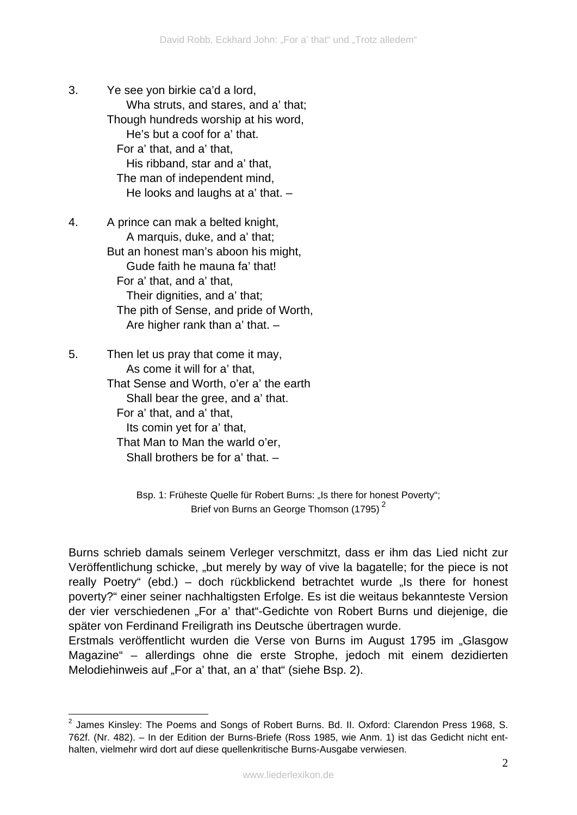- 3. Ye see yon birkie ca'd a lord, Wha struts, and stares, and a' that; Though hundreds worship at his word, He's but a coof for a' that. For a' that, and a' that, His ribband, star and a' that, The man of independent mind, He looks and laughs at a' that. –
- 4. A prince can mak a belted knight, A marquis, duke, and a' that; But an honest man's aboon his might, Gude faith he mauna fa' that! For a' that, and a' that, Their dignities, and a' that; The pith of Sense, and pride of Worth, Are higher rank than a' that. –
- 5. Then let us pray that come it may, As come it will for a' that, That Sense and Worth, o'er a' the earth Shall bear the gree, and a' that. For a' that, and a' that, Its comin yet for a' that, That Man to Man the warld o'er, Shall brothers be for a' that. –

1

Bsp. 1: Früheste Quelle für Robert Burns: "Is there for honest Poverty"; Brief von Burns an George Thomson (1795)<sup>2</sup>

Burns schrieb damals seinem Verleger verschmitzt, dass er ihm das Lied nicht zur Veröffentlichung schicke, "but merely by way of vive la bagatelle; for the piece is not really Poetry" (ebd.) – doch rückblickend betrachtet wurde "Is there for honest poverty?" einer seiner nachhaltigsten Erfolge. Es ist die weitaus bekannteste Version der vier verschiedenen "For a' that"-Gedichte von Robert Burns und diejenige, die später von Ferdinand Freiligrath ins Deutsche übertragen wurde.

Erstmals veröffentlicht wurden die Verse von Burns im August 1795 im "Glasgow Magazine" – allerdings ohne die erste Strophe, jedoch mit einem dezidierten Melodiehinweis auf "For a' that, an a' that" (siehe Bsp. 2).

 $^2$  James Kinsley: The Poems and Songs of Robert Burns. Bd. II. Oxford: Clarendon Press 1968, S. 762f. (Nr. 482). – In der Edition der Burns-Briefe (Ross 1985, wie Anm. 1) ist das Gedicht nicht enthalten, vielmehr wird dort auf diese quellenkritische Burns-Ausgabe verwiesen.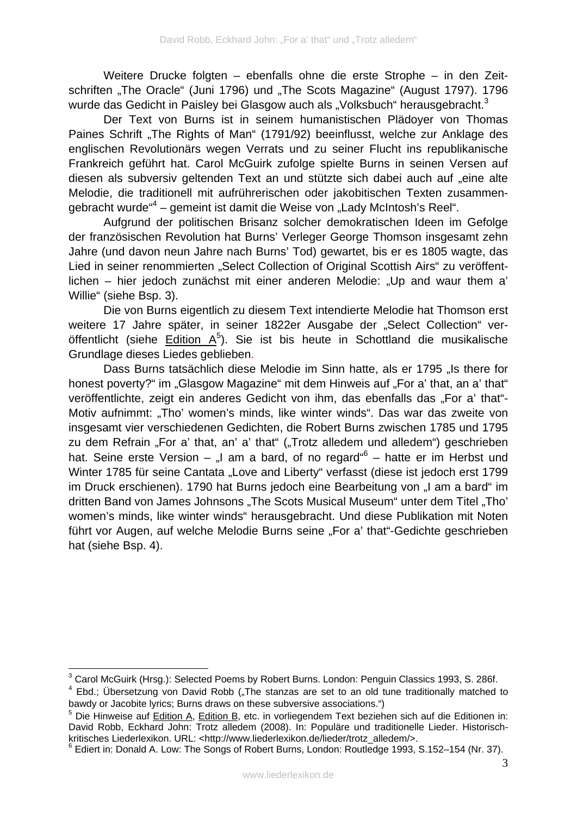Weitere Drucke folgten – ebenfalls ohne die erste Strophe – in den Zeitschriften "The Oracle" (Juni 1796) und "The Scots Magazine" (August 1797). 1796 wurde das Gedicht in Paisley bei Glasgow auch als "Volksbuch" herausgebracht.<sup>3</sup>

Der Text von Burns ist in seinem humanistischen Plädoyer von Thomas Paines Schrift "The Rights of Man" (1791/92) beeinflusst, welche zur Anklage des englischen Revolutionärs wegen Verrats und zu seiner Flucht ins republikanische Frankreich geführt hat. Carol McGuirk zufolge spielte Burns in seinen Versen auf diesen als subversiv geltenden Text an und stützte sich dabei auch auf "eine alte Melodie, die traditionell mit aufrührerischen oder jakobitischen Texten zusammengebracht wurde"<sup>4</sup> – gemeint ist damit die Weise von "Lady McIntosh's Reel".

Aufgrund der politischen Brisanz solcher demokratischen Ideen im Gefolge der französischen Revolution hat Burns' Verleger George Thomson insgesamt zehn Jahre (und davon neun Jahre nach Burns' Tod) gewartet, bis er es 1805 wagte, das Lied in seiner renommierten "Select Collection of Original Scottish Airs" zu veröffentlichen – hier jedoch zunächst mit einer anderen Melodie: "Up and waur them a' Willie" (siehe Bsp. 3).

Die von Burns eigentlich zu diesem Text intendierte Melodie hat Thomson erst weitere 17 Jahre später, in seiner 1822er Ausgabe der "Select Collection" veröffentlicht (siehe Edition  $A^5$ ). Sie ist bis heute in Schottland die musikalische Grundlage dieses Liedes geblieben.

Dass Burns tatsächlich diese Melodie im Sinn hatte, als er 1795 "Is there for honest poverty?" im "Glasgow Magazine" mit dem Hinweis auf "For a' that, an a' that" veröffentlichte, zeigt ein anderes Gedicht von ihm, das ebenfalls das "For a' that"-Motiv aufnimmt: "Tho' women's minds, like winter winds". Das war das zweite von insgesamt vier verschiedenen Gedichten, die Robert Burns zwischen 1785 und 1795 zu dem Refrain "For a' that, an' a' that" ("Trotz alledem und alledem") geschrieben hat. Seine erste Version  $-$  "I am a bard, of no regard" $6 -$  hatte er im Herbst und Winter 1785 für seine Cantata "Love and Liberty" verfasst (diese ist jedoch erst 1799 im Druck erschienen). 1790 hat Burns jedoch eine Bearbeitung von "I am a bard" im dritten Band von James Johnsons "The Scots Musical Museum" unter dem Titel "Tho' women's minds, like winter winds" herausgebracht. Und diese Publikation mit Noten führt vor Augen, auf welche Melodie Burns seine "For a' that"-Gedichte geschrieben hat (siehe Bsp. 4).

\_\_\_\_\_\_\_\_\_\_\_\_\_\_\_\_\_\_\_\_\_\_\_\_\_\_\_\_\_\_\_\_\_\_\_<br><sup>3</sup> Carol McGuirk (Hrsg.): Selected Poems by Robert Burns. London: Penguin Classics 1993, S. 286f.

 $4$  Ebd.; Übersetzung von David Robb ("The stanzas are set to an old tune traditionally matched to bawdy or Jacobite lyrics; Burns draws on these subversive associations.")

<sup>&</sup>lt;sup>5</sup> Die Hinweise auf Edition A, Edition B, etc. in vorliegendem Text beziehen sich auf die Editionen in: David Robb, Eckhard John: Trotz alledem (2008). In: Populäre und traditionelle Lieder. Historischkritisches Liederlexikon. URL: <http://www.liederlexikon.de/lieder/trotz\_alledem/>.

<sup>6</sup> Ediert in: Donald A. Low: The Songs of Robert Burns, London: Routledge 1993, S.152–154 (Nr. 37).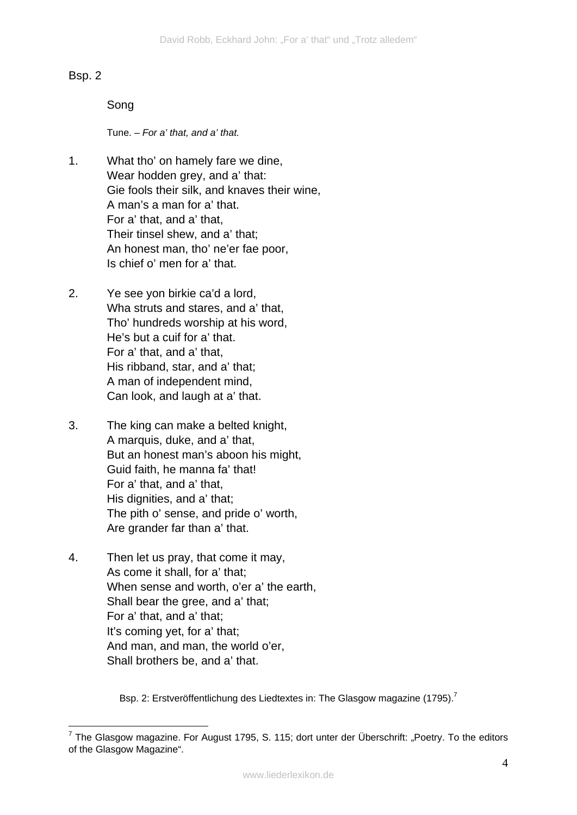#### Bsp. 2

#### Song

Tune. – *For a' that, and a' that.*

- 1. What tho' on hamely fare we dine, Wear hodden grey, and a' that: Gie fools their silk, and knaves their wine, A man's a man for a' that. For a' that, and a' that, Their tinsel shew, and a' that; An honest man, tho' ne'er fae poor, Is chief o' men for a' that.
- 2. Ye see yon birkie ca'd a lord, Wha struts and stares, and a' that, Tho' hundreds worship at his word, He's but a cuif for a' that. For a' that, and a' that, His ribband, star, and a' that; A man of independent mind, Can look, and laugh at a' that.
- 3. The king can make a belted knight, A marquis, duke, and a' that, But an honest man's aboon his might, Guid faith, he manna fa' that! For a' that, and a' that, His dignities, and a' that; The pith o' sense, and pride o' worth, Are grander far than a' that.
- 4. Then let us pray, that come it may, As come it shall, for a' that; When sense and worth, o'er a' the earth, Shall bear the gree, and a' that; For a' that, and a' that; It's coming yet, for a' that; And man, and man, the world o'er, Shall brothers be, and a' that.

Bsp. 2: Erstveröffentlichung des Liedtextes in: The Glasgow magazine (1795).<sup>7</sup>

<sup>&</sup>lt;u>.</u> <sup>7</sup> The Glasgow magazine. For August 1795, S. 115; dort unter der Überschrift: "Poetry. To the editors of the Glasgow Magazine".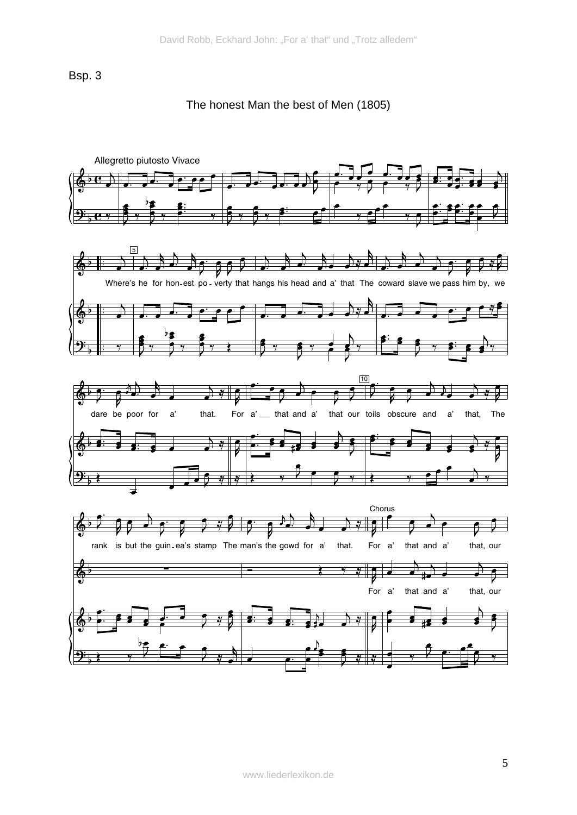Bsp. 3

The honest Man the best of Men (1805)

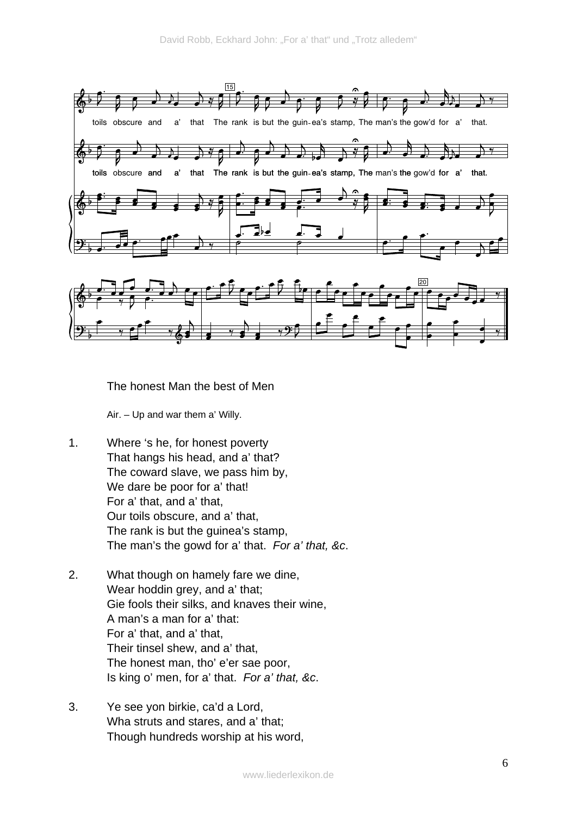

The honest Man the best of Men

Air. – Up and war them a' Willy.

- 1. Where 's he, for honest poverty That hangs his head, and a' that? The coward slave, we pass him by, We dare be poor for a' that! For a' that, and a' that, Our toils obscure, and a' that, The rank is but the guinea's stamp, The man's the gowd for a' that. *For a' that, &c*.
- 2. What though on hamely fare we dine, Wear hoddin grey, and a' that; Gie fools their silks, and knaves their wine, A man's a man for a' that: For a' that, and a' that, Their tinsel shew, and a' that, The honest man, tho' e'er sae poor, Is king o' men, for a' that. *For a' that, &c*.
- 3. Ye see yon birkie, ca'd a Lord, Wha struts and stares, and a' that; Though hundreds worship at his word,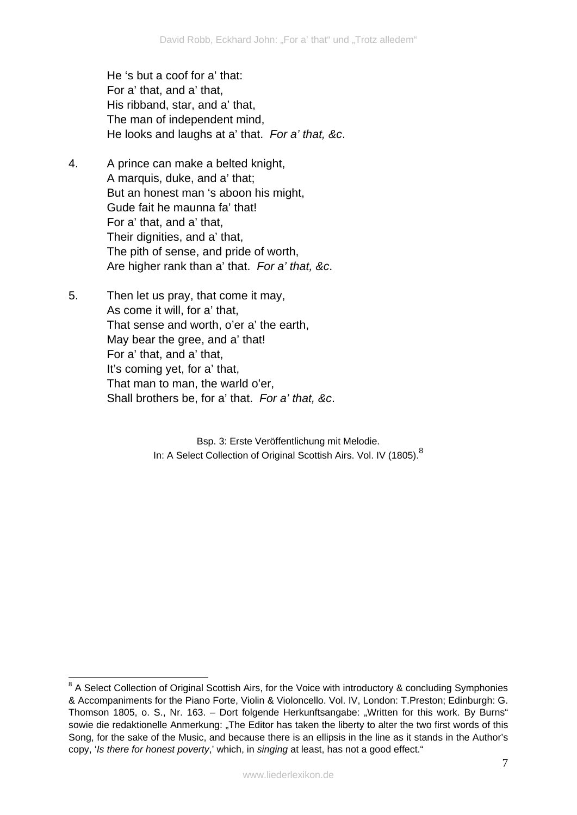He 's but a coof for a' that: For a' that, and a' that, His ribband, star, and a' that, The man of independent mind, He looks and laughs at a' that. *For a' that, &c*.

- 4. A prince can make a belted knight, A marquis, duke, and a' that; But an honest man 's aboon his might, Gude fait he maunna fa' that! For a' that, and a' that, Their dignities, and a' that, The pith of sense, and pride of worth, Are higher rank than a' that. *For a' that, &c*.
- 5. Then let us pray, that come it may, As come it will, for a' that, That sense and worth, o'er a' the earth, May bear the gree, and a' that! For a' that, and a' that, It's coming yet, for a' that, That man to man, the warld o'er, Shall brothers be, for a' that. *For a' that, &c*.

<u>.</u>

Bsp. 3: Erste Veröffentlichung mit Melodie. In: A Select Collection of Original Scottish Airs. Vol. IV (1805).<sup>8</sup>

<sup>&</sup>lt;sup>8</sup> A Select Collection of Original Scottish Airs, for the Voice with introductory & concluding Symphonies & Accompaniments for the Piano Forte, Violin & Violoncello. Vol. IV, London: T.Preston; Edinburgh: G. Thomson 1805, o. S., Nr. 163. – Dort folgende Herkunftsangabe: "Written for this work. By Burns" sowie die redaktionelle Anmerkung: "The Editor has taken the liberty to alter the two first words of this Song, for the sake of the Music, and because there is an ellipsis in the line as it stands in the Author's copy, '*Is there for honest poverty*,' which, in *singing* at least, has not a good effect."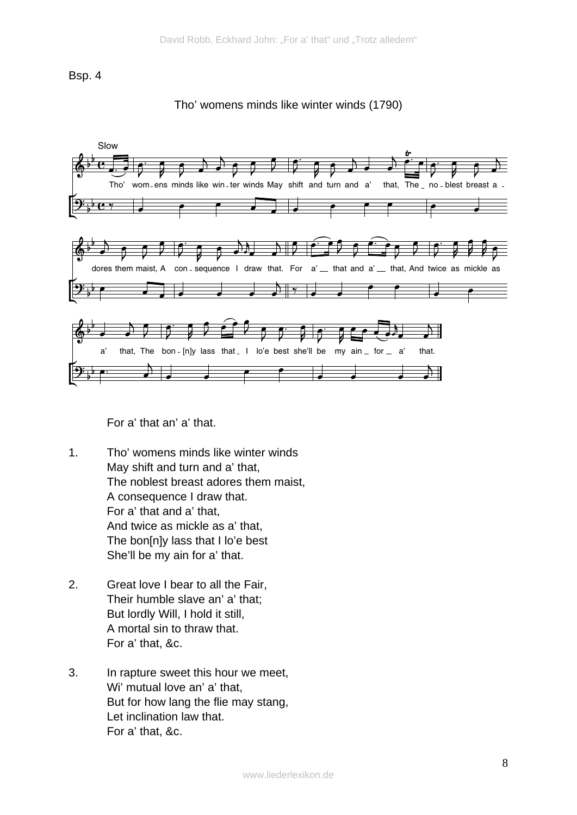Bsp. 4





For a' that an' a' that.

- 1. Tho' womens minds like winter winds May shift and turn and a' that, The noblest breast adores them maist, A consequence I draw that. For a' that and a' that, And twice as mickle as a' that, The bon[n]y lass that I lo'e best She'll be my ain for a' that.
- 2. Great love I bear to all the Fair, Their humble slave an' a' that; But lordly Will, I hold it still, A mortal sin to thraw that. For a' that, &c.
- 3. In rapture sweet this hour we meet, Wi' mutual love an' a' that, But for how lang the flie may stang, Let inclination law that. For a' that, &c.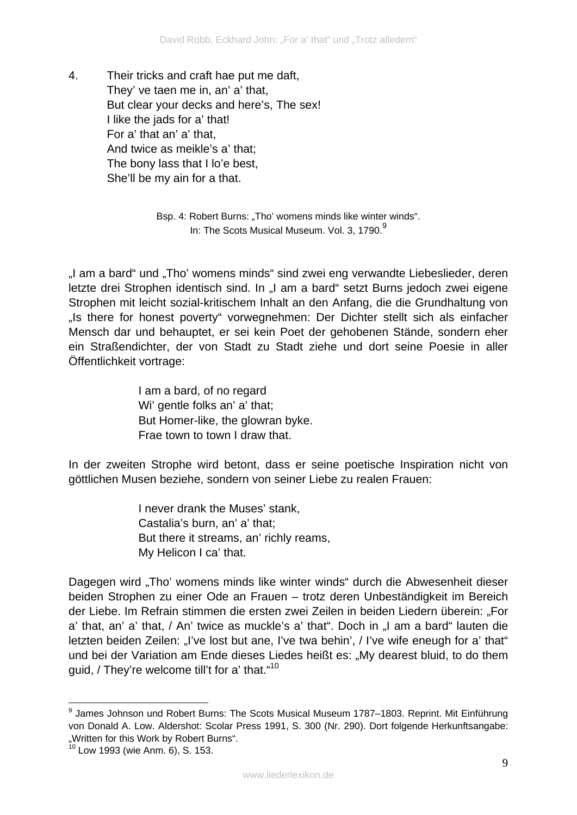4. Their tricks and craft hae put me daft, They' ve taen me in, an' a' that, But clear your decks and here's, The sex! I like the jads for a' that! For a' that an' a' that, And twice as meikle's a' that; The bony lass that I lo'e best, She'll be my ain for a that.

> Bsp. 4: Robert Burns: "Tho' womens minds like winter winds". In: The Scots Musical Museum. Vol. 3, 1790. $9^9$

"I am a bard" und "Tho' womens minds" sind zwei eng verwandte Liebeslieder, deren letzte drei Strophen identisch sind. In "I am a bard" setzt Burns jedoch zwei eigene Strophen mit leicht sozial-kritischem Inhalt an den Anfang, die die Grundhaltung von "Is there for honest poverty" vorwegnehmen: Der Dichter stellt sich als einfacher Mensch dar und behauptet, er sei kein Poet der gehobenen Stände, sondern eher ein Straßendichter, der von Stadt zu Stadt ziehe und dort seine Poesie in aller Öffentlichkeit vortrage:

> I am a bard, of no regard Wi' gentle folks an' a' that; But Homer-like, the glowran byke. Frae town to town I draw that.

In der zweiten Strophe wird betont, dass er seine poetische Inspiration nicht von göttlichen Musen beziehe, sondern von seiner Liebe zu realen Frauen:

> I never drank the Muses' stank, Castalia's burn, an' a' that; But there it streams, an' richly reams, My Helicon I ca' that.

Dagegen wird "Tho' womens minds like winter winds" durch die Abwesenheit dieser beiden Strophen zu einer Ode an Frauen – trotz deren Unbeständigkeit im Bereich der Liebe. Im Refrain stimmen die ersten zwei Zeilen in beiden Liedern überein: "For a' that, an' a' that, / An' twice as muckle's a' that". Doch in "I am a bard" lauten die letzten beiden Zeilen: "I've lost but ane. I've twa behin', / I've wife eneugh for a' that" und bei der Variation am Ende dieses Liedes heißt es: "My dearest bluid, to do them guid, / They're welcome till't for a' that. "<sup>10</sup>

1

<sup>&</sup>lt;sup>9</sup> James Johnson und Robert Burns: The Scots Musical Museum 1787–1803. Reprint. Mit Einführung von Donald A. Low. Aldershot: Scolar Press 1991, S. 300 (Nr. 290). Dort folgende Herkunftsangabe: .Written for this Work by Robert Burns".

<sup>10</sup> Low 1993 (wie Anm. 6), S. 153.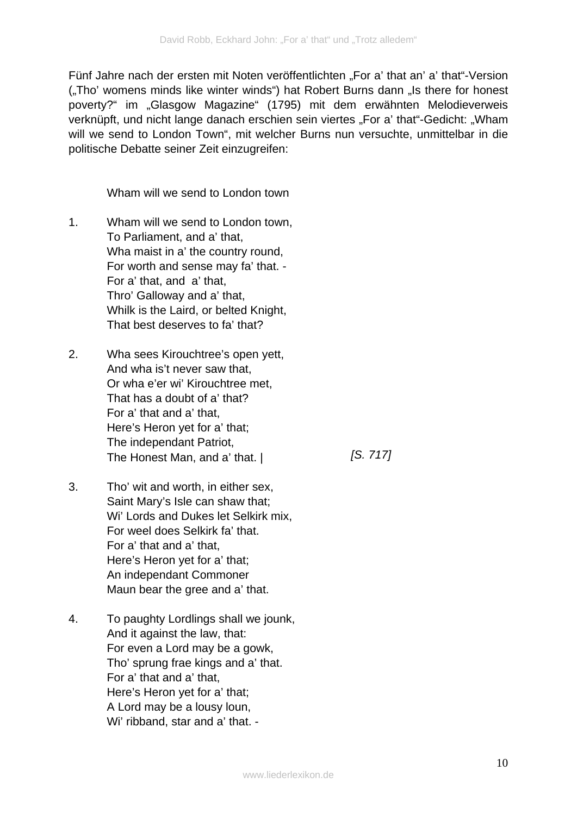Fünf Jahre nach der ersten mit Noten veröffentlichten "For a' that an' a' that"-Version ("Tho' womens minds like winter winds") hat Robert Burns dann "Is there for honest poverty?" im "Glasgow Magazine" (1795) mit dem erwähnten Melodieverweis verknüpft, und nicht lange danach erschien sein viertes "For a' that"-Gedicht: "Wham will we send to London Town", mit welcher Burns nun versuchte, unmittelbar in die politische Debatte seiner Zeit einzugreifen:

Wham will we send to London town

- 1. Wham will we send to London town, To Parliament, and a' that, Wha maist in a' the country round, For worth and sense may fa' that. - For a' that, and a' that, Thro' Galloway and a' that, Whilk is the Laird, or belted Knight, That best deserves to fa' that?
- 2. Wha sees Kirouchtree's open yett, And wha is't never saw that, Or wha e'er wi' Kirouchtree met, That has a doubt of a' that? For a' that and a' that, Here's Heron yet for a' that; The independant Patriot, The Honest Man, and a' that. |

*[S. 717]* 

- 3. Tho' wit and worth, in either sex, Saint Mary's Isle can shaw that; Wi' Lords and Dukes let Selkirk mix, For weel does Selkirk fa' that. For a' that and a' that, Here's Heron yet for a' that; An independant Commoner Maun bear the gree and a' that.
- 4. To paughty Lordlings shall we jounk, And it against the law, that: For even a Lord may be a gowk, Tho' sprung frae kings and a' that. For a' that and a' that, Here's Heron yet for a' that; A Lord may be a lousy loun, Wi' ribband, star and a' that. -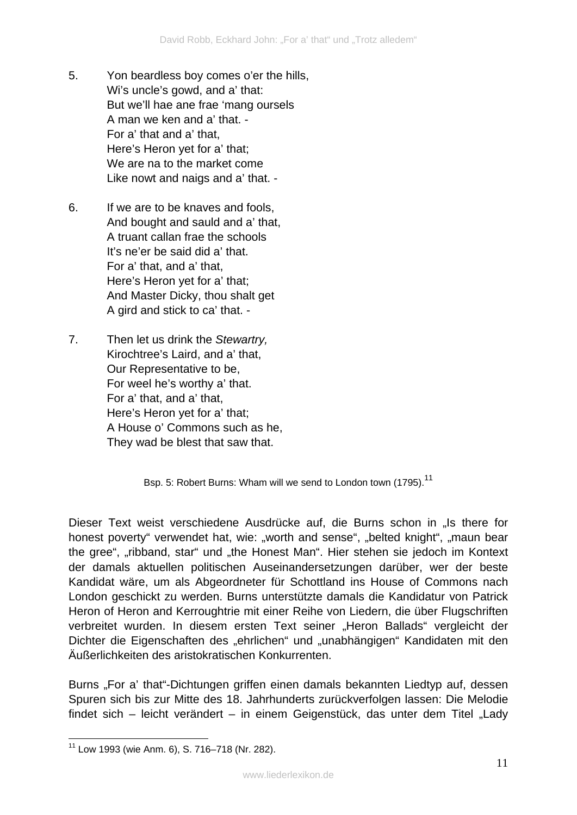- 5. Yon beardless boy comes o'er the hills, Wi's uncle's gowd, and a' that: But we'll hae ane frae 'mang oursels A man we ken and a' that. - For a' that and a' that, Here's Heron yet for a' that; We are na to the market come Like nowt and naigs and a' that. -
- 6. If we are to be knaves and fools, And bought and sauld and a' that, A truant callan frae the schools It's ne'er be said did a' that. For a' that, and a' that, Here's Heron yet for a' that; And Master Dicky, thou shalt get A gird and stick to ca' that. -
- 7. Then let us drink the *Stewartry,*  Kirochtree's Laird, and a' that, Our Representative to be, For weel he's worthy a' that. For a' that, and a' that, Here's Heron yet for a' that; A House o' Commons such as he, They wad be blest that saw that.

Bsp. 5: Robert Burns: Wham will we send to London town (1795).<sup>11</sup>

Dieser Text weist verschiedene Ausdrücke auf, die Burns schon in "Is there for honest poverty" verwendet hat, wie: "worth and sense", "belted knight", "maun bear the gree", "ribband, star" und "the Honest Man". Hier stehen sie jedoch im Kontext der damals aktuellen politischen Auseinandersetzungen darüber, wer der beste Kandidat wäre, um als Abgeordneter für Schottland ins House of Commons nach London geschickt zu werden. Burns unterstützte damals die Kandidatur von Patrick Heron of Heron and Kerroughtrie mit einer Reihe von Liedern, die über Flugschriften verbreitet wurden. In diesem ersten Text seiner "Heron Ballads" vergleicht der Dichter die Eigenschaften des "ehrlichen" und "unabhängigen" Kandidaten mit den Äußerlichkeiten des aristokratischen Konkurrenten.

Burns "For a' that"-Dichtungen griffen einen damals bekannten Liedtyp auf, dessen Spuren sich bis zur Mitte des 18. Jahrhunderts zurückverfolgen lassen: Die Melodie findet sich – leicht verändert – in einem Geigenstück, das unter dem Titel "Lady

<sup>1</sup>  $11$  Low 1993 (wie Anm. 6), S. 716–718 (Nr. 282).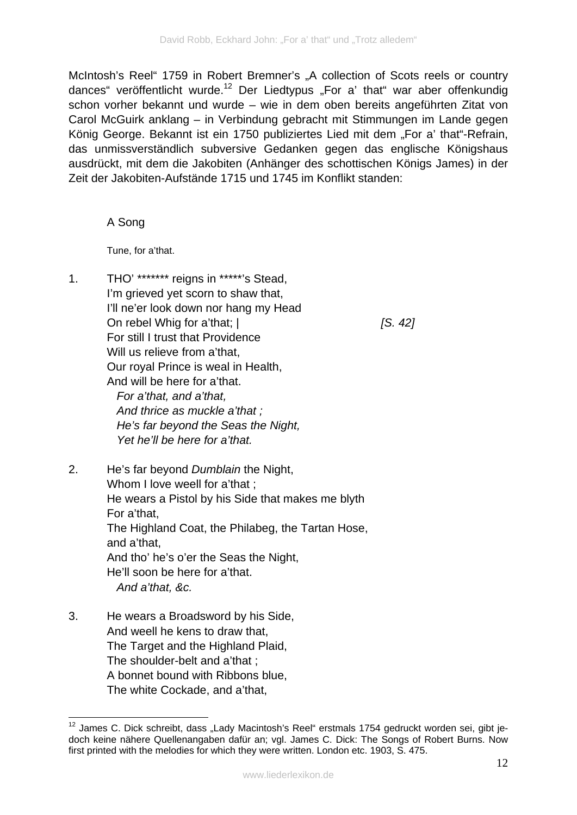McIntosh's Reel" 1759 in Robert Bremner's "A collection of Scots reels or country dances" veröffentlicht wurde.<sup>12</sup> Der Liedtypus "For a' that" war aber offenkundig schon vorher bekannt und wurde – wie in dem oben bereits angeführten Zitat von Carol McGuirk anklang – in Verbindung gebracht mit Stimmungen im Lande gegen König George. Bekannt ist ein 1750 publiziertes Lied mit dem "For a' that"-Refrain. das unmissverständlich subversive Gedanken gegen das englische Königshaus ausdrückt, mit dem die Jakobiten (Anhänger des schottischen Königs James) in der Zeit der Jakobiten-Aufstände 1715 und 1745 im Konflikt standen:

#### A Song

Tune, for a'that.

1. THO' \*\*\*\*\*\*\* reigns in \*\*\*\*\*'s Stead, I'm grieved yet scorn to shaw that, I'll ne'er look down nor hang my Head On rebel Whig for a'that; | For still I trust that Providence Will us relieve from a'that, Our royal Prince is weal in Health, And will be here for a'that.  *For a'that, and a'that, And thrice as muckle a'that ; He's far beyond the Seas the Night, Yet he'll be here for a'that.* 

*[S. 42]* 

- 2. He's far beyond *Dumblain* the Night, Whom I love weell for a'that ; He wears a Pistol by his Side that makes me blyth For a'that, The Highland Coat, the Philabeg, the Tartan Hose, and a'that, And tho' he's o'er the Seas the Night, He'll soon be here for a'that.  *And a'that, &c.*
- 3. He wears a Broadsword by his Side, And weell he kens to draw that, The Target and the Highland Plaid. The shoulder-belt and a'that ; A bonnet bound with Ribbons blue, The white Cockade, and a'that,

<sup>1</sup>  $12$  James C. Dick schreibt, dass "Lady Macintosh's Reel" erstmals 1754 gedruckt worden sei, gibt jedoch keine nähere Quellenangaben dafür an; vgl. James C. Dick: The Songs of Robert Burns. Now first printed with the melodies for which they were written. London etc. 1903, S. 475.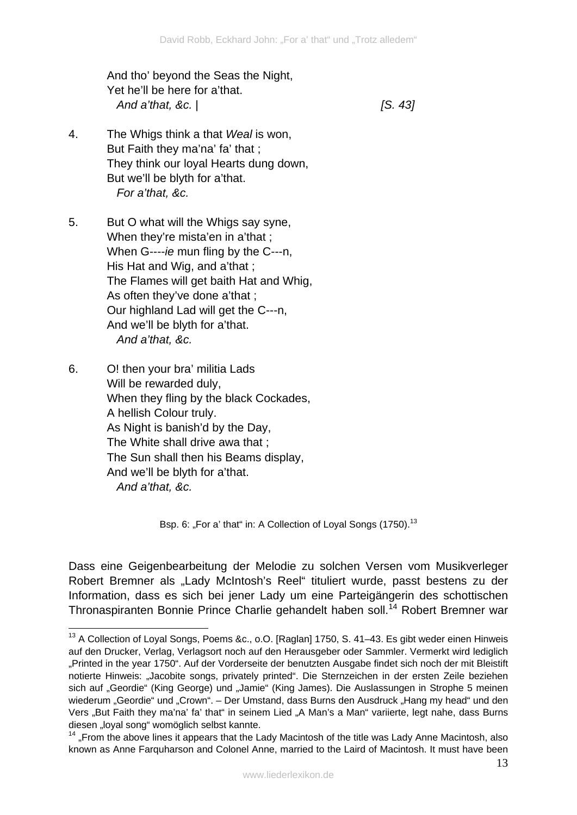And tho' beyond the Seas the Night, Yet he'll be here for a'that.  *And a'that, &c.* |

*[S. 43]* 

- 4. The Whigs think a that *Weal* is won, But Faith they ma'na' fa' that ; They think our loyal Hearts dung down, But we'll be blyth for a'that.  *For a'that, &c.*
- 5. But O what will the Whigs say syne, When they're mista'en in a'that ; When G----*ie* mun fling by the C---n, His Hat and Wig, and a'that ; The Flames will get baith Hat and Whig, As often they've done a'that ; Our highland Lad will get the C---n, And we'll be blyth for a'that.  *And a'that, &c.*
- 6. O! then your bra' militia Lads Will be rewarded duly, When they fling by the black Cockades, A hellish Colour truly. As Night is banish'd by the Day, The White shall drive awa that ; The Sun shall then his Beams display, And we'll be blyth for a'that.  *And a'that, &c.*

Bsp. 6: "For a' that" in: A Collection of Loyal Songs (1750).<sup>13</sup>

Dass eine Geigenbearbeitung der Melodie zu solchen Versen vom Musikverleger Robert Bremner als "Lady McIntosh's Reel" tituliert wurde, passt bestens zu der Information, dass es sich bei jener Lady um eine Parteigängerin des schottischen Thronaspiranten Bonnie Prince Charlie gehandelt haben soll.<sup>14</sup> Robert Bremner war

<sup>&</sup>lt;u>.</u> <sup>13</sup> A Collection of Loyal Songs, Poems &c., o.O. [Raglan] 1750, S. 41–43. Es gibt weder einen Hinweis auf den Drucker, Verlag, Verlagsort noch auf den Herausgeber oder Sammler. Vermerkt wird lediglich "Printed in the year 1750". Auf der Vorderseite der benutzten Ausgabe findet sich noch der mit Bleistift notierte Hinweis: "Jacobite songs, privately printed". Die Sternzeichen in der ersten Zeile beziehen sich auf "Geordie" (King George) und "Jamie" (King James). Die Auslassungen in Strophe 5 meinen wiederum "Geordie" und "Crown". – Der Umstand, dass Burns den Ausdruck "Hang my head" und den Vers "But Faith they ma'na' fa' that" in seinem Lied "A Man's a Man" variierte, legt nahe, dass Burns diesen "loyal song" womöglich selbst kannte.

 $14$  . From the above lines it appears that the Lady Macintosh of the title was Lady Anne Macintosh, also known as Anne Farquharson and Colonel Anne, married to the Laird of Macintosh. It must have been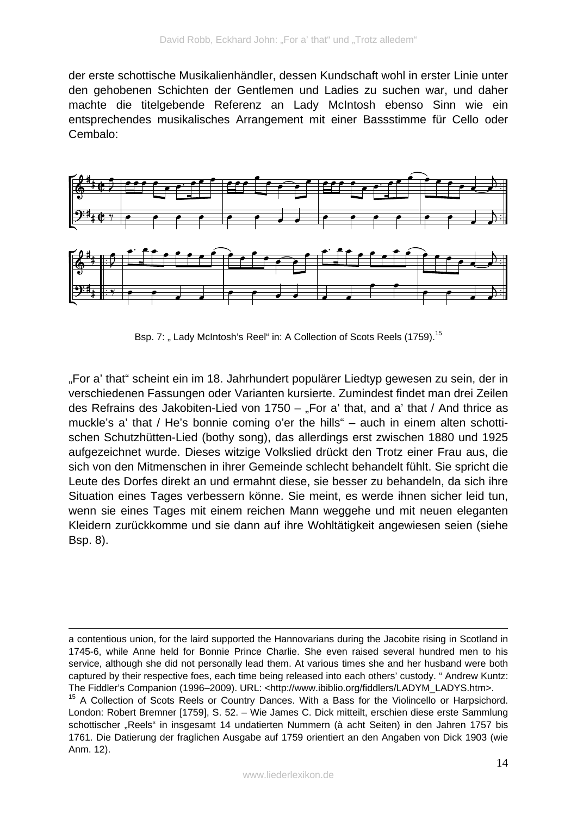der erste schottische Musikalienhändler, dessen Kundschaft wohl in erster Linie unter den gehobenen Schichten der Gentlemen und Ladies zu suchen war, und daher machte die titelgebende Referenz an Lady McIntosh ebenso Sinn wie ein entsprechendes musikalisches Arrangement mit einer Bassstimme für Cello oder Cembalo:



Bsp. 7: "Lady McIntosh's Reel" in: A Collection of Scots Reels (1759).<sup>15</sup>

"For a' that" scheint ein im 18. Jahrhundert populärer Liedtyp gewesen zu sein, der in verschiedenen Fassungen oder Varianten kursierte. Zumindest findet man drei Zeilen des Refrains des Jakobiten-Lied von 1750  $-$  "For a' that, and a' that / And thrice as muckle's a' that / He's bonnie coming o'er the hills" – auch in einem alten schottischen Schutzhütten-Lied (bothy song), das allerdings erst zwischen 1880 und 1925 aufgezeichnet wurde. Dieses witzige Volkslied drückt den Trotz einer Frau aus, die sich von den Mitmenschen in ihrer Gemeinde schlecht behandelt fühlt. Sie spricht die Leute des Dorfes direkt an und ermahnt diese, sie besser zu behandeln, da sich ihre Situation eines Tages verbessern könne. Sie meint, es werde ihnen sicher leid tun, wenn sie eines Tages mit einem reichen Mann weggehe und mit neuen eleganten Kleidern zurückkomme und sie dann auf ihre Wohltätigkeit angewiesen seien (siehe Bsp. 8).

<u>.</u>

a contentious union, for the laird supported the Hannovarians during the Jacobite rising in Scotland in 1745-6, while Anne held for Bonnie Prince Charlie. She even raised several hundred men to his service, although she did not personally lead them. At various times she and her husband were both captured by their respective foes, each time being released into each others' custody. " Andrew Kuntz: The Fiddler's Companion (1996–2009). URL: <http://www.ibiblio.org/fiddlers/LADYM\_LADYS.htm>.

<sup>&</sup>lt;sup>15</sup> A Collection of Scots Reels or Country Dances. With a Bass for the Violincello or Harpsichord. London: Robert Bremner [1759], S. 52. – Wie James C. Dick mitteilt, erschien diese erste Sammlung schottischer "Reels" in insgesamt 14 undatierten Nummern (à acht Seiten) in den Jahren 1757 bis 1761. Die Datierung der fraglichen Ausgabe auf 1759 orientiert an den Angaben von Dick 1903 (wie Anm. 12).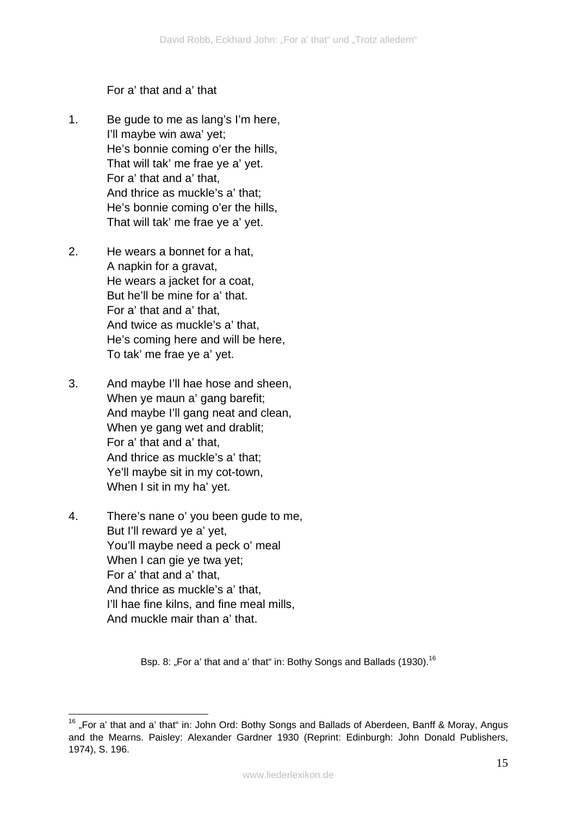For a' that and a' that

- 1. Be gude to me as lang's I'm here, I'll maybe win awa' yet; He's bonnie coming o'er the hills, That will tak' me frae ye a' yet. For a' that and a' that, And thrice as muckle's a' that; He's bonnie coming o'er the hills, That will tak' me frae ye a' yet.
- 2. He wears a bonnet for a hat, A napkin for a gravat, He wears a jacket for a coat, But he'll be mine for a' that. For a' that and a' that, And twice as muckle's a' that, He's coming here and will be here, To tak' me frae ye a' yet.
- 3. And maybe I'll hae hose and sheen, When ye maun a' gang barefit; And maybe I'll gang neat and clean, When ye gang wet and drablit; For a' that and a' that, And thrice as muckle's a' that; Ye'll maybe sit in my cot-town, When I sit in my ha' yet.
- 4. There's nane o' you been gude to me, But I'll reward ye a' yet, You'll maybe need a peck o' meal When I can gie ye twa yet; For a' that and a' that, And thrice as muckle's a' that, I'll hae fine kilns, and fine meal mills, And muckle mair than a' that.

Bsp. 8: "For a' that and a' that" in: Bothy Songs and Ballads (1930).<sup>16</sup>

<sup>1</sup>  $16$  "For a' that and a' that" in: John Ord: Bothy Songs and Ballads of Aberdeen, Banff & Moray, Angus and the Mearns. Paisley: Alexander Gardner 1930 (Reprint: Edinburgh: John Donald Publishers, 1974), S. 196.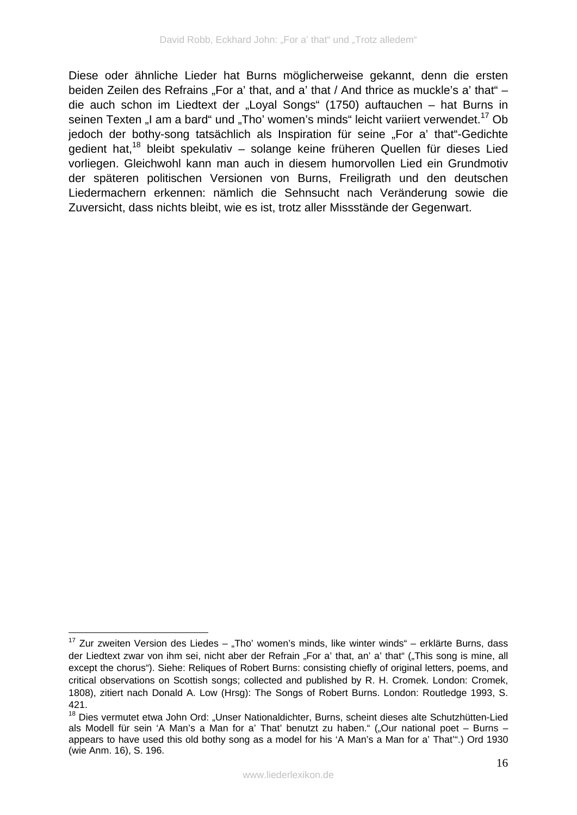Diese oder ähnliche Lieder hat Burns möglicherweise gekannt, denn die ersten beiden Zeilen des Refrains "For a' that, and a' that / And thrice as muckle's a' that" die auch schon im Liedtext der "Loyal Songs" (1750) auftauchen – hat Burns in seinen Texten "I am a bard" und "Tho' women's minds" leicht variiert verwendet.<sup>17</sup> Ob jedoch der bothy-song tatsächlich als Inspiration für seine "For a' that"-Gedichte gedient hat,<sup>18</sup> bleibt spekulativ – solange keine früheren Quellen für dieses Lied vorliegen. Gleichwohl kann man auch in diesem humorvollen Lied ein Grundmotiv der späteren politischen Versionen von Burns, Freiligrath und den deutschen Liedermachern erkennen: nämlich die Sehnsucht nach Veränderung sowie die Zuversicht, dass nichts bleibt, wie es ist, trotz aller Missstände der Gegenwart.

1

 $17$  Zur zweiten Version des Liedes – "Tho' women's minds, like winter winds" – erklärte Burns, dass der Liedtext zwar von ihm sei, nicht aber der Refrain "For a' that, an' a' that" ("This song is mine, all except the chorus"). Siehe: Reliques of Robert Burns: consisting chiefly of original letters, poems, and critical observations on Scottish songs; collected and published by R. H. Cromek. London: Cromek, 1808), zitiert nach Donald A. Low (Hrsg): The Songs of Robert Burns. London: Routledge 1993, S. 421.

<sup>&</sup>lt;sup>18</sup> Dies vermutet etwa John Ord: "Unser Nationaldichter, Burns, scheint dieses alte Schutzhütten-Lied als Modell für sein 'A Man's a Man for a' That' benutzt zu haben." ("Our national poet – Burns – appears to have used this old bothy song as a model for his 'A Man's a Man for a' That'".) Ord 1930 (wie Anm. 16), S. 196.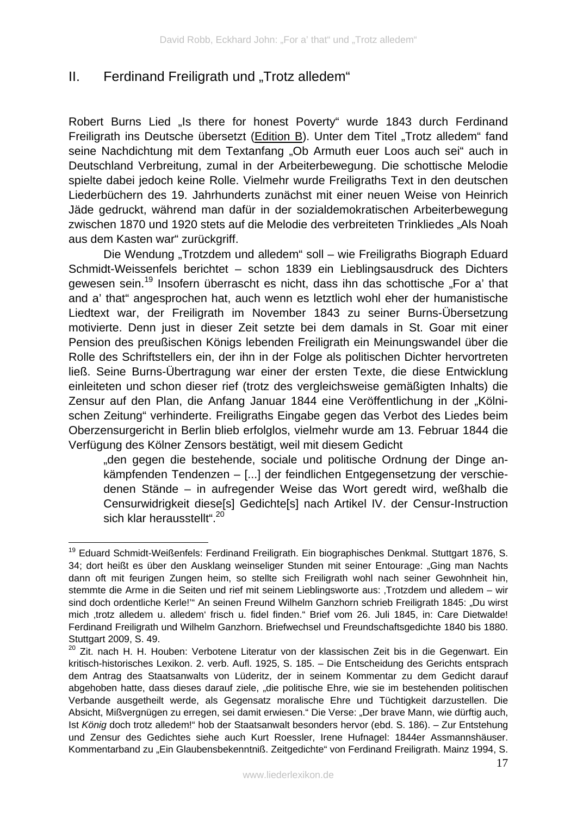# II. Ferdinand Freiligrath und "Trotz alledem"

Robert Burns Lied "Is there for honest Poverty" wurde 1843 durch Ferdinand Freiligrath ins Deutsche übersetzt (Edition B). Unter dem Titel "Trotz alledem" fand seine Nachdichtung mit dem Textanfang "Ob Armuth euer Loos auch sei" auch in Deutschland Verbreitung, zumal in der Arbeiterbewegung. Die schottische Melodie spielte dabei jedoch keine Rolle. Vielmehr wurde Freiligraths Text in den deutschen Liederbüchern des 19. Jahrhunderts zunächst mit einer neuen Weise von Heinrich Jäde gedruckt, während man dafür in der sozialdemokratischen Arbeiterbewegung zwischen 1870 und 1920 stets auf die Melodie des verbreiteten Trinkliedes "Als Noah aus dem Kasten war" zurückgriff.

Die Wendung "Trotzdem und alledem" soll – wie Freiligraths Biograph Eduard Schmidt-Weissenfels berichtet – schon 1839 ein Lieblingsausdruck des Dichters gewesen sein.<sup>19</sup> Insofern überrascht es nicht, dass ihn das schottische "For a' that and a' that" angesprochen hat, auch wenn es letztlich wohl eher der humanistische Liedtext war, der Freiligrath im November 1843 zu seiner Burns-Übersetzung motivierte. Denn just in dieser Zeit setzte bei dem damals in St. Goar mit einer Pension des preußischen Königs lebenden Freiligrath ein Meinungswandel über die Rolle des Schriftstellers ein, der ihn in der Folge als politischen Dichter hervortreten ließ. Seine Burns-Übertragung war einer der ersten Texte, die diese Entwicklung einleiteten und schon dieser rief (trotz des vergleichsweise gemäßigten Inhalts) die Zensur auf den Plan, die Anfang Januar 1844 eine Veröffentlichung in der "Kölnischen Zeitung" verhinderte. Freiligraths Eingabe gegen das Verbot des Liedes beim Oberzensurgericht in Berlin blieb erfolglos, vielmehr wurde am 13. Februar 1844 die Verfügung des Kölner Zensors bestätigt, weil mit diesem Gedicht

"den gegen die bestehende, sociale und politische Ordnung der Dinge ankämpfenden Tendenzen – [...] der feindlichen Entgegensetzung der verschiedenen Stände – in aufregender Weise das Wort geredt wird, weßhalb die Censurwidrigkeit diese[s] Gedichte[s] nach Artikel IV. der Censur-Instruction sich klar herausstellt".<sup>20</sup>

<sup>1</sup> <sup>19</sup> Eduard Schmidt-Weißenfels: Ferdinand Freiligrath. Ein biographisches Denkmal. Stuttgart 1876, S. 34; dort heißt es über den Ausklang weinseliger Stunden mit seiner Entourage: "Ging man Nachts dann oft mit feurigen Zungen heim, so stellte sich Freiligrath wohl nach seiner Gewohnheit hin, stemmte die Arme in die Seiten und rief mit seinem Lieblingsworte aus: Trotzdem und alledem – wir sind doch ordentliche Kerle!" An seinen Freund Wilhelm Ganzhorn schrieb Freiligrath 1845: "Du wirst mich ,trotz alledem u. alledem' frisch u. fidel finden." Brief vom 26. Juli 1845, in: Care Dietwalde! Ferdinand Freiligrath und Wilhelm Ganzhorn. Briefwechsel und Freundschaftsgedichte 1840 bis 1880. Stuttgart 2009, S. 49.

<sup>&</sup>lt;sup>20</sup> Zit. nach H. H. Houben: Verbotene Literatur von der klassischen Zeit bis in die Gegenwart. Ein kritisch-historisches Lexikon. 2. verb. Aufl. 1925, S. 185. – Die Entscheidung des Gerichts entsprach dem Antrag des Staatsanwalts von Lüderitz, der in seinem Kommentar zu dem Gedicht darauf abgehoben hatte, dass dieses darauf ziele, "die politische Ehre, wie sie im bestehenden politischen Verbande ausgetheilt werde, als Gegensatz moralische Ehre und Tüchtigkeit darzustellen. Die Absicht, Mißvergnügen zu erregen, sei damit erwiesen." Die Verse: "Der brave Mann, wie dürftig auch, Ist *König* doch trotz alledem!" hob der Staatsanwalt besonders hervor (ebd. S. 186). – Zur Entstehung und Zensur des Gedichtes siehe auch Kurt Roessler, Irene Hufnagel: 1844er Assmannshäuser. Kommentarband zu "Ein Glaubensbekenntniß. Zeitgedichte" von Ferdinand Freiligrath. Mainz 1994, S.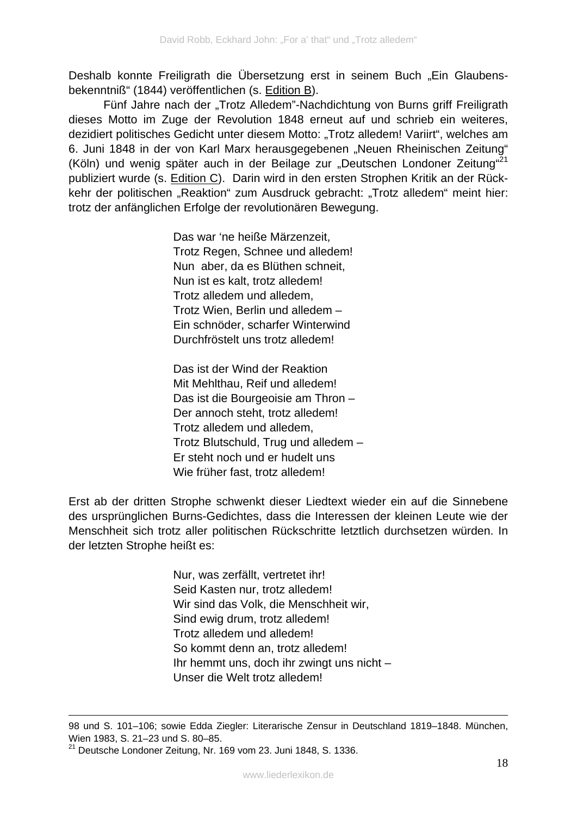Deshalb konnte Freiligrath die Übersetzung erst in seinem Buch "Ein Glaubensbekenntniß" (1844) veröffentlichen (s. Edition B).

Fünf Jahre nach der "Trotz Alledem"-Nachdichtung von Burns griff Freiligrath dieses Motto im Zuge der Revolution 1848 erneut auf und schrieb ein weiteres, dezidiert politisches Gedicht unter diesem Motto: "Trotz alledem! Variirt", welches am 6. Juni 1848 in der von Karl Marx herausgegebenen "Neuen Rheinischen Zeitung" (Köln) und wenig später auch in der Beilage zur "Deutschen Londoner Zeitung"<sup>21</sup> publiziert wurde (s. Edition C). Darin wird in den ersten Strophen Kritik an der Rückkehr der politischen "Reaktion" zum Ausdruck gebracht: "Trotz alledem" meint hier: trotz der anfänglichen Erfolge der revolutionären Bewegung.

> Das war 'ne heiße Märzenzeit, Trotz Regen, Schnee und alledem! Nun aber, da es Blüthen schneit, Nun ist es kalt, trotz alledem! Trotz alledem und alledem, Trotz Wien, Berlin und alledem – Ein schnöder, scharfer Winterwind Durchfröstelt uns trotz alledem!

Das ist der Wind der Reaktion Mit Mehlthau, Reif und alledem! Das ist die Bourgeoisie am Thron – Der annoch steht, trotz alledem! Trotz alledem und alledem, Trotz Blutschuld, Trug und alledem – Er steht noch und er hudelt uns Wie früher fast, trotz alledem!

Erst ab der dritten Strophe schwenkt dieser Liedtext wieder ein auf die Sinnebene des ursprünglichen Burns-Gedichtes, dass die Interessen der kleinen Leute wie der Menschheit sich trotz aller politischen Rückschritte letztlich durchsetzen würden. In der letzten Strophe heißt es:

> Nur, was zerfällt, vertretet ihr! Seid Kasten nur, trotz alledem! Wir sind das Volk, die Menschheit wir, Sind ewig drum, trotz alledem! Trotz alledem und alledem! So kommt denn an, trotz alledem! Ihr hemmt uns, doch ihr zwingt uns nicht – Unser die Welt trotz alledem!

1

<sup>98</sup> und S. 101–106; sowie Edda Ziegler: Literarische Zensur in Deutschland 1819–1848. München, Wien 1983, S. 21–23 und S. 80–85.

<sup>21</sup> Deutsche Londoner Zeitung, Nr. 169 vom 23. Juni 1848, S. 1336.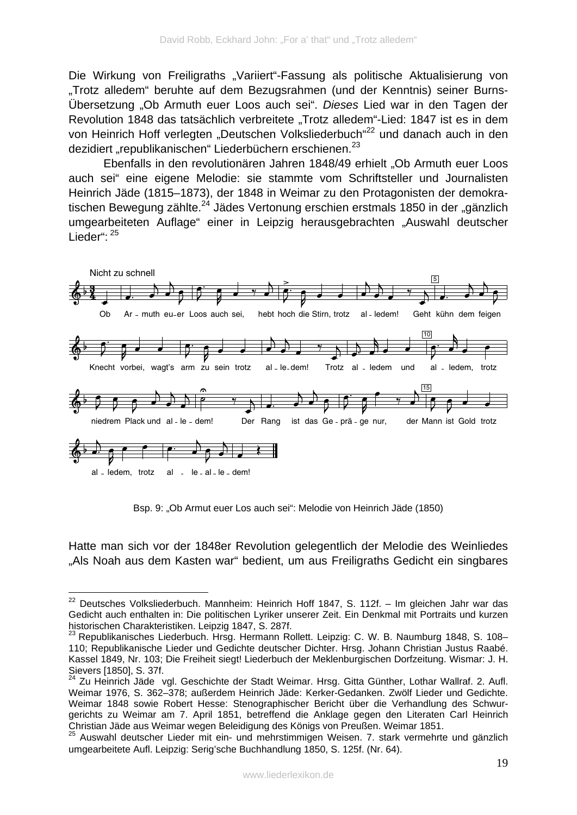Die Wirkung von Freiligraths "Variiert"-Fassung als politische Aktualisierung von "Trotz alledem" beruhte auf dem Bezugsrahmen (und der Kenntnis) seiner Burns-Übersetzung "Ob Armuth euer Loos auch sei". *Dieses* Lied war in den Tagen der Revolution 1848 das tatsächlich verbreitete "Trotz alledem"-Lied: 1847 ist es in dem von Heinrich Hoff verlegten "Deutschen Volksliederbuch"<sup>22</sup> und danach auch in den dezidiert "republikanischen" Liederbüchern erschienen.<sup>23</sup>

Ebenfalls in den revolutionären Jahren 1848/49 erhielt "Ob Armuth euer Loos auch sei" eine eigene Melodie: sie stammte vom Schriftsteller und Journalisten Heinrich Jäde (1815–1873), der 1848 in Weimar zu den Protagonisten der demokratischen Bewegung zählte.<sup>24</sup> Jädes Vertonung erschien erstmals 1850 in der "gänzlich umgearbeiteten Auflage" einer in Leipzig herausgebrachten "Auswahl deutscher Lieder":  $25$ 



Bsp. 9: "Ob Armut euer Los auch sei": Melodie von Heinrich Jäde (1850)

Hatte man sich vor der 1848er Revolution gelegentlich der Melodie des Weinliedes "Als Noah aus dem Kasten war" bedient, um aus Freiligraths Gedicht ein singbares

<sup>&</sup>lt;u>.</u>  $22$  Deutsches Volksliederbuch. Mannheim: Heinrich Hoff 1847, S. 112f. – Im gleichen Jahr war das Gedicht auch enthalten in: Die politischen Lyriker unserer Zeit. Ein Denkmal mit Portraits und kurzen historischen Charakteristiken. Leipzig 1847, S. 287f.

<sup>&</sup>lt;sup>23</sup> Republikanisches Liederbuch. Hrsg. Hermann Rollett. Leipzig: C. W. B. Naumburg 1848, S. 108-110; Republikanische Lieder und Gedichte deutscher Dichter. Hrsg. Johann Christian Justus Raabé. Kassel 1849, Nr. 103; Die Freiheit siegt! Liederbuch der Meklenburgischen Dorfzeitung. Wismar: J. H. Sievers [1850], S. 37f.

<sup>&</sup>lt;sup>24</sup> Zu Heinrich Jäde vgl. Geschichte der Stadt Weimar. Hrsg. Gitta Günther, Lothar Wallraf. 2. Aufl. Weimar 1976, S. 362–378; außerdem Heinrich Jäde: Kerker-Gedanken. Zwölf Lieder und Gedichte. Weimar 1848 sowie Robert Hesse: Stenographischer Bericht über die Verhandlung des Schwurgerichts zu Weimar am 7. April 1851, betreffend die Anklage gegen den Literaten Carl Heinrich Christian Jäde aus Weimar wegen Beleidigung des Königs von Preußen. Weimar 1851.

<sup>&</sup>lt;sup>25</sup> Auswahl deutscher Lieder mit ein- und mehrstimmigen Weisen. 7. stark vermehrte und gänzlich umgearbeitete Aufl. Leipzig: Serig'sche Buchhandlung 1850, S. 125f. (Nr. 64).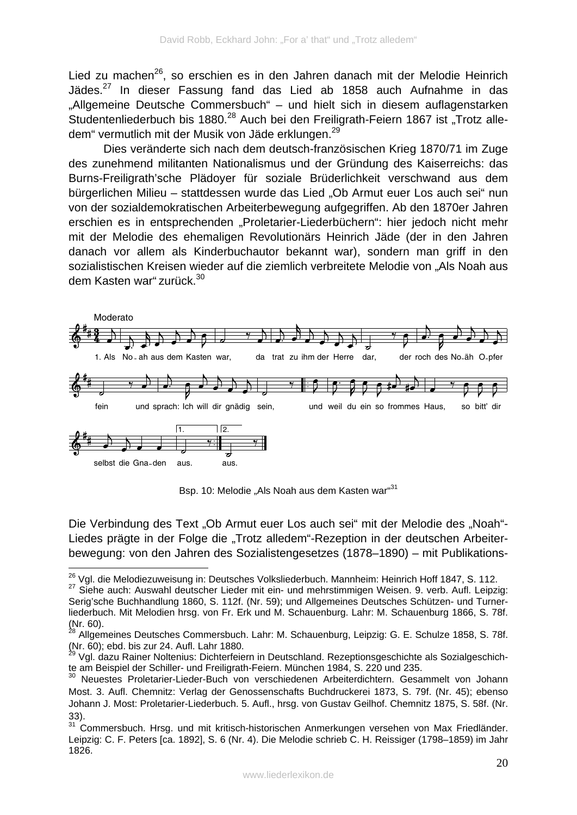Lied zu machen<sup>26</sup>, so erschien es in den Jahren danach mit der Melodie Heinrich Jädes.<sup>27</sup> In dieser Fassung fand das Lied ab 1858 auch Aufnahme in das "Allgemeine Deutsche Commersbuch" – und hielt sich in diesem auflagenstarken Studentenliederbuch bis 1880.<sup>28</sup> Auch bei den Freiligrath-Feiern 1867 ist "Trotz alledem" vermutlich mit der Musik von Jäde erklungen.<sup>29</sup>

 Dies veränderte sich nach dem deutsch-französischen Krieg 1870/71 im Zuge des zunehmend militanten Nationalismus und der Gründung des Kaiserreichs: das Burns-Freiligrath'sche Plädoyer für soziale Brüderlichkeit verschwand aus dem bürgerlichen Milieu – stattdessen wurde das Lied "Ob Armut euer Los auch sei" nun von der sozialdemokratischen Arbeiterbewegung aufgegriffen. Ab den 1870er Jahren erschien es in entsprechenden "Proletarier-Liederbüchern": hier jedoch nicht mehr mit der Melodie des ehemaligen Revolutionärs Heinrich Jäde (der in den Jahren danach vor allem als Kinderbuchautor bekannt war), sondern man griff in den sozialistischen Kreisen wieder auf die ziemlich verbreitete Melodie von "Als Noah aus dem Kasten war" zurück.<sup>30</sup>



Bsp. 10: Melodie "Als Noah aus dem Kasten war"<sup>31</sup>

Die Verbindung des Text "Ob Armut euer Los auch sei" mit der Melodie des "Noah"-Liedes prägte in der Folge die "Trotz alledem"-Rezeption in der deutschen Arbeiterbewegung: von den Jahren des Sozialistengesetzes (1878–1890) – mit Publikations-

1

<sup>&</sup>lt;sup>26</sup> Vgl. die Melodiezuweisung in: Deutsches Volksliederbuch. Mannheim: Heinrich Hoff 1847, S. 112.

<sup>&</sup>lt;sup>27</sup> Siehe auch: Auswahl deutscher Lieder mit ein- und mehrstimmigen Weisen. 9. verb. Aufl. Leipzig: Serig'sche Buchhandlung 1860, S. 112f. (Nr. 59); und Allgemeines Deutsches Schützen- und Turnerliederbuch. Mit Melodien hrsg. von Fr. Erk und M. Schauenburg. Lahr: M. Schauenburg 1866, S. 78f. (Nr. 60).

<sup>&</sup>lt;sup>28</sup> Allgemeines Deutsches Commersbuch. Lahr: M. Schauenburg, Leipzig: G. E. Schulze 1858, S. 78f. (Nr.  $\overline{60}$ ); ebd. bis zur 24. Aufl. Lahr 1880.

<sup>29</sup> Vgl. dazu Rainer Noltenius: Dichterfeiern in Deutschland. Rezeptionsgeschichte als Sozialgeschichte am Beispiel der Schiller- und Freiligrath-Feiern. München 1984, S. 220 und 235.

<sup>30</sup> Neuestes Proletarier-Lieder-Buch von verschiedenen Arbeiterdichtern. Gesammelt von Johann Most. 3. Aufl. Chemnitz: Verlag der Genossenschafts Buchdruckerei 1873, S. 79f. (Nr. 45); ebenso Johann J. Most: Proletarier-Liederbuch. 5. Aufl., hrsg. von Gustav Geilhof. Chemnitz 1875, S. 58f. (Nr. 33).

<sup>&</sup>lt;sup>31</sup> Commersbuch. Hrsg. und mit kritisch-historischen Anmerkungen versehen von Max Friedländer. Leipzig: C. F. Peters [ca. 1892], S. 6 (Nr. 4). Die Melodie schrieb C. H. Reissiger (1798–1859) im Jahr 1826.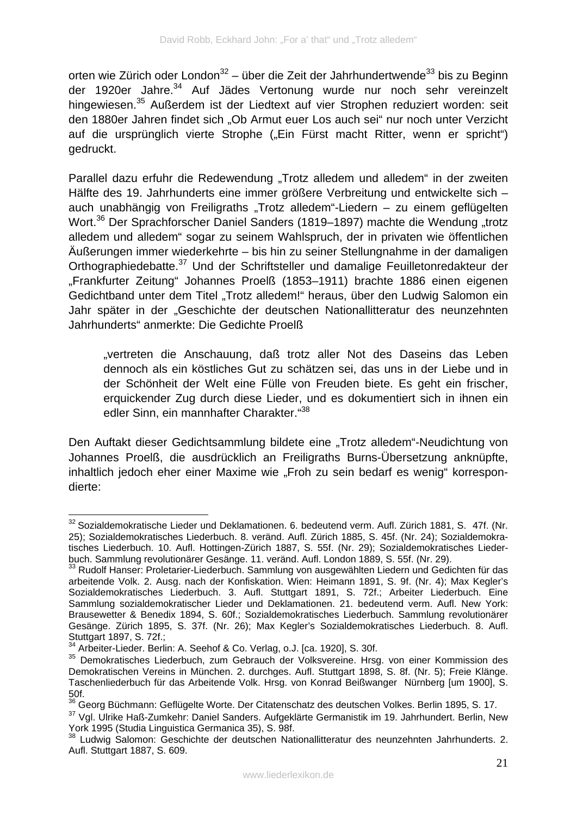orten wie Zürich oder London<sup>32</sup> – über die Zeit der Jahrhundertwende<sup>33</sup> bis zu Beginn der 1920er Jahre.<sup>34</sup> Auf Jädes Vertonung wurde nur noch sehr vereinzelt hingewiesen.<sup>35</sup> Außerdem ist der Liedtext auf vier Strophen reduziert worden: seit den 1880er Jahren findet sich "Ob Armut euer Los auch sei" nur noch unter Verzicht auf die ursprünglich vierte Strophe ("Ein Fürst macht Ritter, wenn er spricht") gedruckt.

Parallel dazu erfuhr die Redewendung "Trotz alledem und alledem" in der zweiten Hälfte des 19. Jahrhunderts eine immer größere Verbreitung und entwickelte sich – auch unabhängig von Freiligraths "Trotz alledem"-Liedern – zu einem geflügelten Wort.<sup>36</sup> Der Sprachforscher Daniel Sanders (1819–1897) machte die Wendung "trotz alledem und alledem" sogar zu seinem Wahlspruch, der in privaten wie öffentlichen Äußerungen immer wiederkehrte – bis hin zu seiner Stellungnahme in der damaligen Orthographiedebatte.<sup>37</sup> Und der Schriftsteller und damalige Feuilletonredakteur der "Frankfurter Zeitung" Johannes Proelß (1853–1911) brachte 1886 einen eigenen Gedichtband unter dem Titel "Trotz alledem!" heraus, über den Ludwig Salomon ein Jahr später in der "Geschichte der deutschen Nationallitteratur des neunzehnten Jahrhunderts" anmerkte: Die Gedichte Proelß

"vertreten die Anschauung, daß trotz aller Not des Daseins das Leben dennoch als ein köstliches Gut zu schätzen sei, das uns in der Liebe und in der Schönheit der Welt eine Fülle von Freuden biete. Es geht ein frischer, erquickender Zug durch diese Lieder, und es dokumentiert sich in ihnen ein edler Sinn, ein mannhafter Charakter."<sup>38</sup>

Den Auftakt dieser Gedichtsammlung bildete eine "Trotz alledem"-Neudichtung von Johannes Proelß, die ausdrücklich an Freiligraths Burns-Übersetzung anknüpfte, inhaltlich jedoch eher einer Maxime wie "Froh zu sein bedarf es wenig" korrespondierte:

<sup>1</sup> <sup>32</sup> Sozialdemokratische Lieder und Deklamationen. 6. bedeutend verm. Aufl. Zürich 1881, S. 47f. (Nr. 25); Sozialdemokratisches Liederbuch. 8. veränd. Aufl. Zürich 1885, S. 45f. (Nr. 24); Sozialdemokratisches Liederbuch. 10. Aufl. Hottingen-Zürich 1887, S. 55f. (Nr. 29); Sozialdemokratisches Liederbuch. Sammlung revolutionärer Gesänge. 11. veränd. Aufl. London 1889, S. 55f. (Nr. 29).

<sup>33</sup> Rudolf Hanser: Proletarier-Liederbuch. Sammlung von ausgewählten Liedern und Gedichten für das arbeitende Volk. 2. Ausg. nach der Konfiskation. Wien: Heimann 1891, S. 9f. (Nr. 4); Max Kegler's Sozialdemokratisches Liederbuch. 3. Aufl. Stuttgart 1891, S. 72f.; Arbeiter Liederbuch. Eine Sammlung sozialdemokratischer Lieder und Deklamationen. 21. bedeutend verm. Aufl. New York: Brausewetter & Benedix 1894, S. 60f.; Sozialdemokratisches Liederbuch. Sammlung revolutionärer Gesänge. Zürich 1895, S. 37f. (Nr. 26); Max Kegler's Sozialdemokratisches Liederbuch. 8. Aufl. Stuttgart 1897, S. 72f.;

<sup>&</sup>lt;sup>34</sup> Arbeiter-Lieder. Berlin: A. Seehof & Co. Verlag, o.J. [ca. 1920], S. 30f.

<sup>&</sup>lt;sup>35</sup> Demokratisches Liederbuch, zum Gebrauch der Volksvereine. Hrsg. von einer Kommission des Demokratischen Vereins in München. 2. durchges. Aufl. Stuttgart 1898, S. 8f. (Nr. 5); Freie Klänge. Taschenliederbuch für das Arbeitende Volk. Hrsg. von Konrad Beißwanger Nürnberg [um 1900], S.  $\frac{50f}{36}$ 

 $36$  Georg Büchmann: Geflügelte Worte. Der Citatenschatz des deutschen Volkes. Berlin 1895, S. 17.

<sup>&</sup>lt;sup>37</sup> Val. Ulrike Haß-Zumkehr: Daniel Sanders. Aufgeklärte Germanistik im 19. Jahrhundert. Berlin, New York 1995 (Studia Linguistica Germanica 35), S. 98f.

<sup>38</sup> Ludwig Salomon: Geschichte der deutschen Nationallitteratur des neunzehnten Jahrhunderts. 2. Aufl. Stuttgart 1887, S. 609.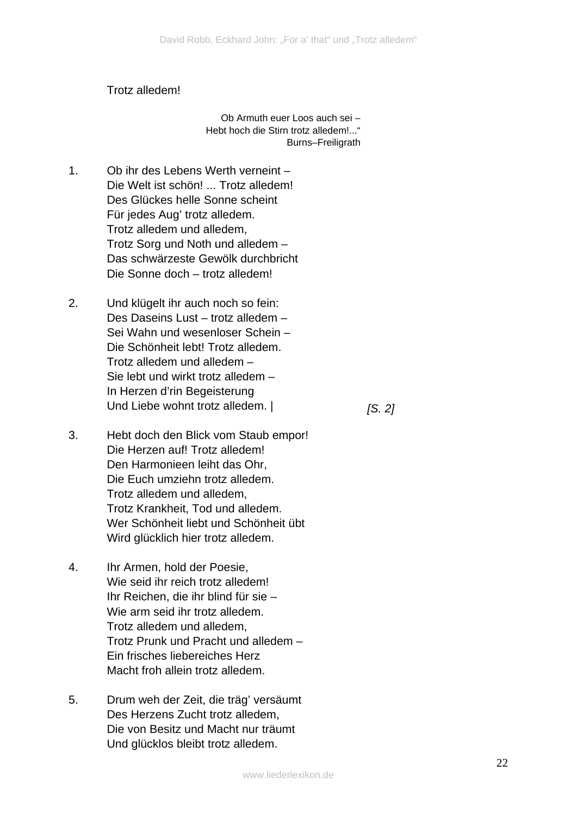#### Trotz alledem!

Ob Armuth euer Loos auch sei – Hebt hoch die Stirn trotz alledem!..." Burns–Freiligrath

- 1. Ob ihr des Lebens Werth verneint – Die Welt ist schön! ... Trotz alledem! Des Glückes helle Sonne scheint Für jedes Aug' trotz alledem. Trotz alledem und alledem, Trotz Sorg und Noth und alledem – Das schwärzeste Gewölk durchbricht Die Sonne doch – trotz alledem!
- 2. Und klügelt ihr auch noch so fein: Des Daseins Lust – trotz alledem – Sei Wahn und wesenloser Schein – Die Schönheit lebt! Trotz alledem. Trotz alledem und alledem – Sie lebt und wirkt trotz alledem – In Herzen d'rin Begeisterung Und Liebe wohnt trotz alledem. |

*[S. 2]* 

- 3. Hebt doch den Blick vom Staub empor! Die Herzen auf! Trotz alledem! Den Harmonieen leiht das Ohr, Die Euch umziehn trotz alledem. Trotz alledem und alledem, Trotz Krankheit, Tod und alledem. Wer Schönheit liebt und Schönheit übt Wird glücklich hier trotz alledem.
- 4. Ihr Armen, hold der Poesie, Wie seid ihr reich trotz alledem! Ihr Reichen, die ihr blind für sie – Wie arm seid ihr trotz alledem. Trotz alledem und alledem, Trotz Prunk und Pracht und alledem – Ein frisches liebereiches Herz Macht froh allein trotz alledem.
- 5. Drum weh der Zeit, die träg' versäumt Des Herzens Zucht trotz alledem, Die von Besitz und Macht nur träumt Und glücklos bleibt trotz alledem.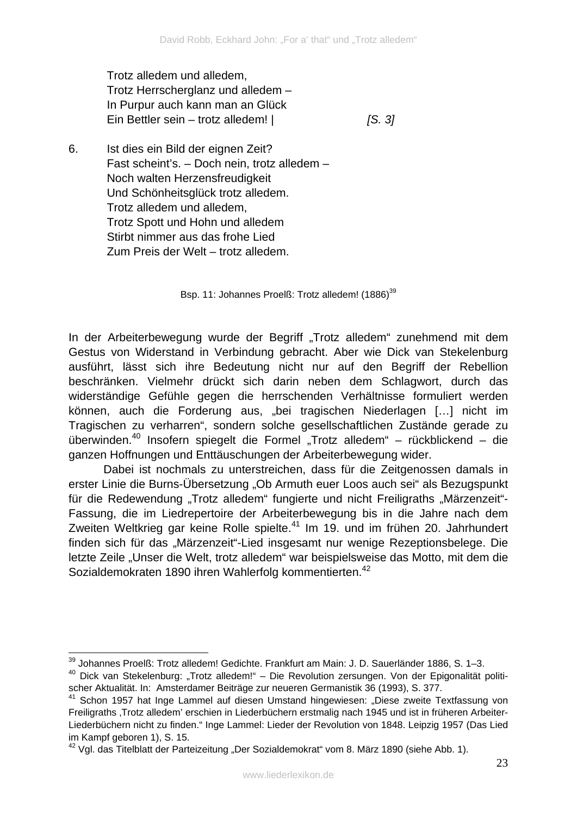Trotz alledem und alledem, Trotz Herrscherglanz und alledem – In Purpur auch kann man an Glück Ein Bettler sein – trotz alledem! |

*[S. 3]* 

6. Ist dies ein Bild der eignen Zeit? Fast scheint's. – Doch nein, trotz alledem – Noch walten Herzensfreudigkeit Und Schönheitsglück trotz alledem. Trotz alledem und alledem, Trotz Spott und Hohn und alledem Stirbt nimmer aus das frohe Lied Zum Preis der Welt – trotz alledem.

Bsp. 11: Johannes Proelß: Trotz alledem! (1886)<sup>39</sup>

In der Arbeiterbewegung wurde der Begriff "Trotz alledem" zunehmend mit dem Gestus von Widerstand in Verbindung gebracht. Aber wie Dick van Stekelenburg ausführt, lässt sich ihre Bedeutung nicht nur auf den Begriff der Rebellion beschränken. Vielmehr drückt sich darin neben dem Schlagwort, durch das widerständige Gefühle gegen die herrschenden Verhältnisse formuliert werden können, auch die Forderung aus, "bei tragischen Niederlagen […] nicht im Tragischen zu verharren", sondern solche gesellschaftlichen Zustände gerade zu überwinden.<sup>40</sup> Insofern spiegelt die Formel "Trotz alledem" – rückblickend – die ganzen Hoffnungen und Enttäuschungen der Arbeiterbewegung wider.

Dabei ist nochmals zu unterstreichen, dass für die Zeitgenossen damals in erster Linie die Burns-Übersetzung "Ob Armuth euer Loos auch sei" als Bezugspunkt für die Redewendung "Trotz alledem" fungierte und nicht Freiligraths "Märzenzeit"-Fassung, die im Liedrepertoire der Arbeiterbewegung bis in die Jahre nach dem Zweiten Weltkrieg gar keine Rolle spielte.<sup>41</sup> Im 19. und im frühen 20. Jahrhundert finden sich für das "Märzenzeit"-Lied insgesamt nur wenige Rezeptionsbelege. Die letzte Zeile "Unser die Welt, trotz alledem" war beispielsweise das Motto, mit dem die Sozialdemokraten 1890 ihren Wahlerfolg kommentierten.<sup>42</sup>

<sup>1</sup>  $39$  Johannes Proelß: Trotz alledem! Gedichte. Frankfurt am Main: J. D. Sauerländer 1886, S. 1–3.

<sup>&</sup>lt;sup>40</sup> Dick van Stekelenburg: "Trotz alledem!" – Die Revolution zersungen. Von der Epigonalität politischer Aktualität. In: Amsterdamer Beiträge zur neueren Germanistik 36 (1993), S. 377.

<sup>&</sup>lt;sup>41</sup> Schon 1957 hat Inge Lammel auf diesen Umstand hingewiesen: "Diese zweite Textfassung von Freiligraths , Trotz alledem' erschien in Liederbüchern erstmalig nach 1945 und ist in früheren Arbeiter-Liederbüchern nicht zu finden." Inge Lammel: Lieder der Revolution von 1848. Leipzig 1957 (Das Lied im Kampf geboren 1), S. 15.

<sup>&</sup>lt;sup>42</sup> Vgl. das Titelblatt der Parteizeitung "Der Sozialdemokrat" vom 8. März 1890 (siehe Abb. 1).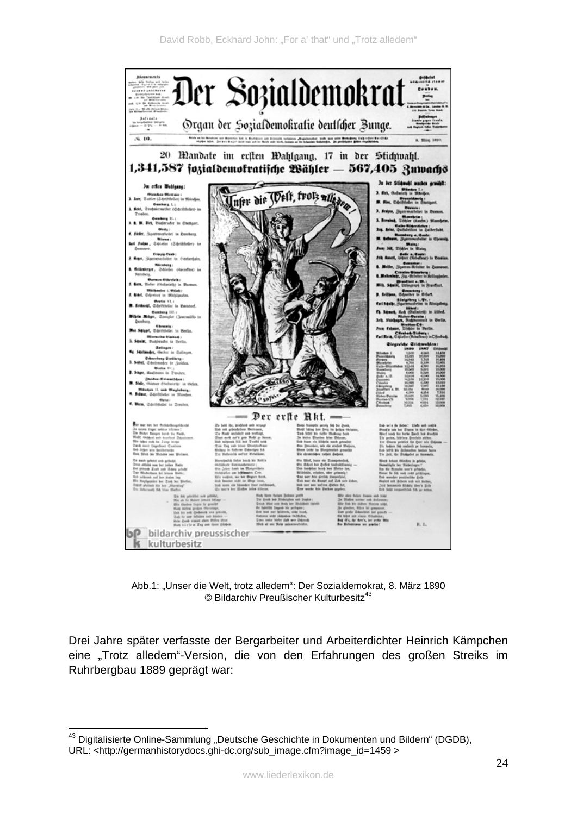

Abb.1: "Unser die Welt, trotz alledem": Der Sozialdemokrat, 8. März 1890  $©$  Bildarchiv Preußischer Kulturbesitz<sup>43</sup>

Drei Jahre später verfasste der Bergarbeiter und Arbeiterdichter Heinrich Kämpchen eine "Trotz alledem"-Version, die von den Erfahrungen des großen Streiks im Ruhrbergbau 1889 geprägt war:

<sup>&</sup>lt;u>.</u>  $43$  Digitalisierte Online-Sammlung "Deutsche Geschichte in Dokumenten und Bildern" (DGDB), URL: <http://germanhistorydocs.ghi-dc.org/sub\_image.cfm?image\_id=1459 >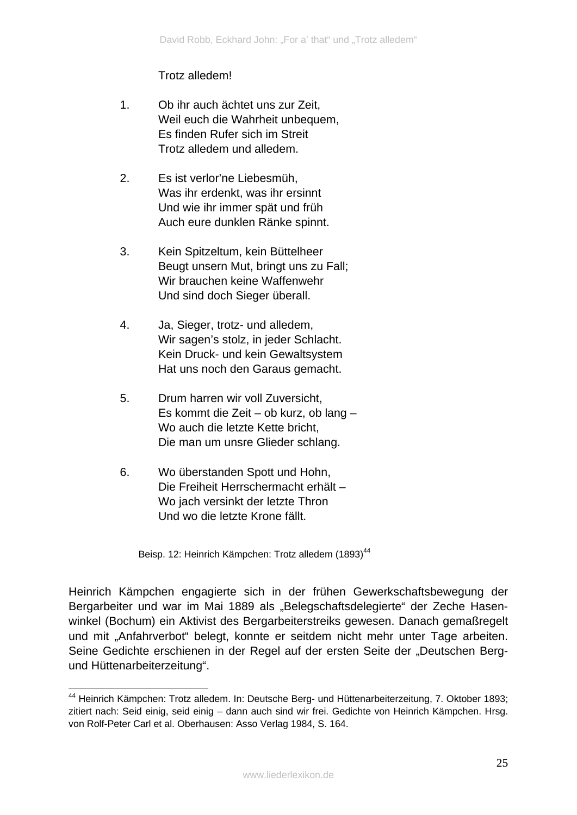#### Trotz alledem!

- 1. Ob ihr auch ächtet uns zur Zeit, Weil euch die Wahrheit unbequem, Es finden Rufer sich im Streit Trotz alledem und alledem.
- 2. Es ist verlor'ne Liebesmüh, Was ihr erdenkt, was ihr ersinnt Und wie ihr immer spät und früh Auch eure dunklen Ränke spinnt.
- 3. Kein Spitzeltum, kein Büttelheer Beugt unsern Mut, bringt uns zu Fall; Wir brauchen keine Waffenwehr Und sind doch Sieger überall.
- 4. Ja, Sieger, trotz- und alledem, Wir sagen's stolz, in jeder Schlacht. Kein Druck- und kein Gewaltsystem Hat uns noch den Garaus gemacht.
- 5. Drum harren wir voll Zuversicht, Es kommt die Zeit – ob kurz, ob lang – Wo auch die letzte Kette bricht, Die man um unsre Glieder schlang.
- 6. Wo überstanden Spott und Hohn. Die Freiheit Herrschermacht erhält – Wo jach versinkt der letzte Thron Und wo die letzte Krone fällt.

<u>.</u>

Beisp. 12: Heinrich Kämpchen: Trotz alledem (1893)<sup>44</sup>

Heinrich Kämpchen engagierte sich in der frühen Gewerkschaftsbewegung der Bergarbeiter und war im Mai 1889 als "Belegschaftsdelegierte" der Zeche Hasenwinkel (Bochum) ein Aktivist des Bergarbeiterstreiks gewesen. Danach gemaßregelt und mit "Anfahrverbot" belegt, konnte er seitdem nicht mehr unter Tage arbeiten. Seine Gedichte erschienen in der Regel auf der ersten Seite der "Deutschen Bergund Hüttenarbeiterzeitung".

<sup>&</sup>lt;sup>44</sup> Heinrich Kämpchen: Trotz alledem. In: Deutsche Berg- und Hüttenarbeiterzeitung, 7. Oktober 1893; zitiert nach: Seid einig, seid einig – dann auch sind wir frei. Gedichte von Heinrich Kämpchen. Hrsg. von Rolf-Peter Carl et al. Oberhausen: Asso Verlag 1984, S. 164.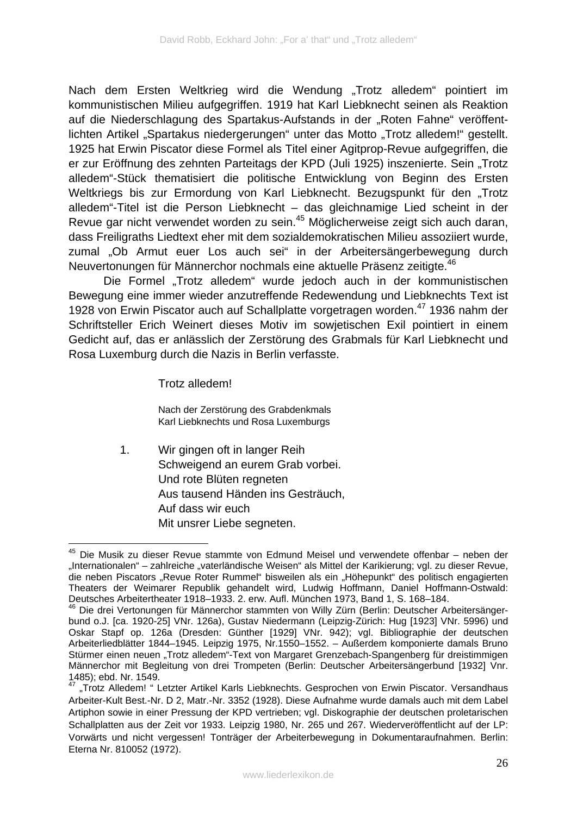Nach dem Ersten Weltkrieg wird die Wendung "Trotz alledem" pointiert im kommunistischen Milieu aufgegriffen. 1919 hat Karl Liebknecht seinen als Reaktion auf die Niederschlagung des Spartakus-Aufstands in der "Roten Fahne" veröffentlichten Artikel "Spartakus niedergerungen" unter das Motto "Trotz alledem!" gestellt. 1925 hat Erwin Piscator diese Formel als Titel einer Agitprop-Revue aufgegriffen, die er zur Eröffnung des zehnten Parteitags der KPD (Juli 1925) inszenierte. Sein "Trotz alledem"-Stück thematisiert die politische Entwicklung von Beginn des Ersten Weltkriegs bis zur Ermordung von Karl Liebknecht. Bezugspunkt für den "Trotz alledem"-Titel ist die Person Liebknecht – das gleichnamige Lied scheint in der Revue gar nicht verwendet worden zu sein.<sup>45</sup> Möglicherweise zeigt sich auch daran, dass Freiligraths Liedtext eher mit dem sozialdemokratischen Milieu assoziiert wurde, zumal "Ob Armut euer Los auch sei" in der Arbeitersängerbewegung durch Neuvertonungen für Männerchor nochmals eine aktuelle Präsenz zeitigte.<sup>46</sup>

Die Formel "Trotz alledem" wurde jedoch auch in der kommunistischen Bewegung eine immer wieder anzutreffende Redewendung und Liebknechts Text ist 1928 von Erwin Piscator auch auf Schallplatte vorgetragen worden.<sup>47</sup> 1936 nahm der Schriftsteller Erich Weinert dieses Motiv im sowjetischen Exil pointiert in einem Gedicht auf, das er anlässlich der Zerstörung des Grabmals für Karl Liebknecht und Rosa Luxemburg durch die Nazis in Berlin verfasste.

Trotz alledem!

<u>.</u>

Nach der Zerstörung des Grabdenkmals Karl Liebknechts und Rosa Luxemburgs

1. Wir gingen oft in langer Reih Schweigend an eurem Grab vorbei. Und rote Blüten regneten Aus tausend Händen ins Gesträuch, Auf dass wir euch Mit unsrer Liebe segneten.

<sup>&</sup>lt;sup>45</sup> Die Musik zu dieser Revue stammte von Edmund Meisel und verwendete offenbar – neben der "Internationalen" – zahlreiche "vaterländische Weisen" als Mittel der Karikierung; vgl. zu dieser Revue, die neben Piscators "Revue Roter Rummel" bisweilen als ein "Höhepunkt" des politisch engagierten Theaters der Weimarer Republik gehandelt wird, Ludwig Hoffmann, Daniel Hoffmann-Ostwald: Deutsches Arbeitertheater 1918–1933. 2. erw. Aufl. München 1973, Band 1, S. 168–184.

<sup>&</sup>lt;sup>46</sup> Die drei Vertonungen für Männerchor stammten von Willy Zürn (Berlin: Deutscher Arbeitersängerbund o.J. [ca. 1920-25] VNr. 126a), Gustav Niedermann (Leipzig-Zürich: Hug [1923] VNr. 5996) und Oskar Stapf op. 126a (Dresden: Günther [1929] VNr. 942); vgl. Bibliographie der deutschen Arbeiterliedblätter 1844–1945. Leipzig 1975, Nr.1550–1552. – Außerdem komponierte damals Bruno Stürmer einen neuen "Trotz alledem"-Text von Margaret Grenzebach-Spangenberg für dreistimmigen Männerchor mit Begleitung von drei Trompeten (Berlin: Deutscher Arbeitersängerbund [1932] Vnr. 1485); ebd. Nr. 1549.

<sup>&</sup>quot;Trotz Alledem! " Letzter Artikel Karls Liebknechts. Gesprochen von Erwin Piscator. Versandhaus Arbeiter-Kult Best.-Nr. D 2, Matr.-Nr. 3352 (1928). Diese Aufnahme wurde damals auch mit dem Label Artiphon sowie in einer Pressung der KPD vertrieben; vgl. Diskographie der deutschen proletarischen Schallplatten aus der Zeit vor 1933. Leipzig 1980, Nr. 265 und 267. Wiederveröffentlicht auf der LP: Vorwärts und nicht vergessen! Tonträger der Arbeiterbewegung in Dokumentaraufnahmen. Berlin: Eterna Nr. 810052 (1972).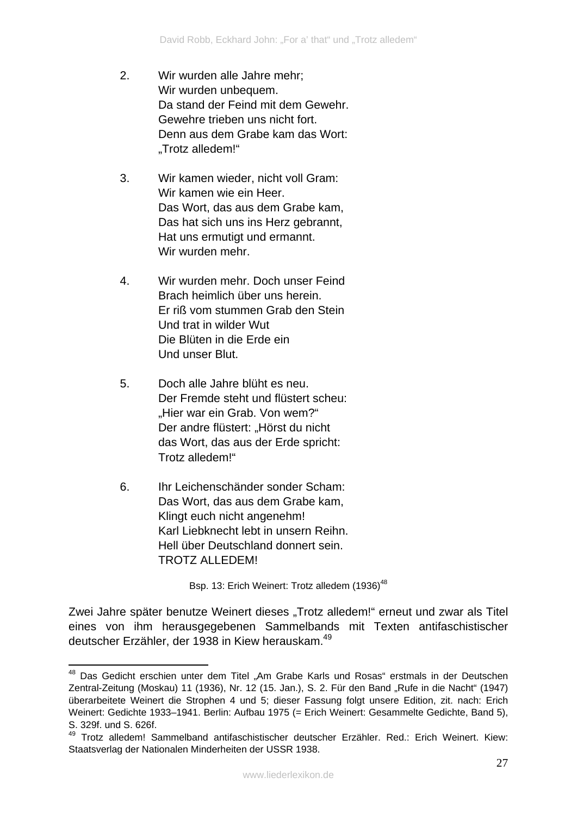- 2. Wir wurden alle Jahre mehr; Wir wurden unbequem. Da stand der Feind mit dem Gewehr. Gewehre trieben uns nicht fort. Denn aus dem Grabe kam das Wort: "Trotz alledem!"
- 3. Wir kamen wieder, nicht voll Gram: Wir kamen wie ein Heer. Das Wort, das aus dem Grabe kam, Das hat sich uns ins Herz gebrannt, Hat uns ermutigt und ermannt. Wir wurden mehr.
- 4. Wir wurden mehr. Doch unser Feind Brach heimlich über uns herein. Er riß vom stummen Grab den Stein Und trat in wilder Wut Die Blüten in die Erde ein Und unser Blut.
- 5. Doch alle Jahre blüht es neu. Der Fremde steht und flüstert scheu: "Hier war ein Grab. Von wem?" Der andre flüstert: "Hörst du nicht das Wort, das aus der Erde spricht: Trotz alledem!"
- 6. Ihr Leichenschänder sonder Scham: Das Wort, das aus dem Grabe kam, Klingt euch nicht angenehm! Karl Liebknecht lebt in unsern Reihn. Hell über Deutschland donnert sein. TROTZ ALLEDEM!

Bsp. 13: Erich Weinert: Trotz alledem (1936)<sup>48</sup>

Zwei Jahre später benutze Weinert dieses "Trotz alledem!" erneut und zwar als Titel eines von ihm herausgegebenen Sammelbands mit Texten antifaschistischer deutscher Erzähler, der 1938 in Kiew herauskam.49

<sup>1</sup> <sup>48</sup> Das Gedicht erschien unter dem Titel "Am Grabe Karls und Rosas" erstmals in der Deutschen Zentral-Zeitung (Moskau) 11 (1936), Nr. 12 (15. Jan.), S. 2. Für den Band "Rufe in die Nacht" (1947) überarbeitete Weinert die Strophen 4 und 5; dieser Fassung folgt unsere Edition, zit. nach: Erich Weinert: Gedichte 1933–1941. Berlin: Aufbau 1975 (= Erich Weinert: Gesammelte Gedichte, Band 5), S. 329f. und S. 626f.

<sup>49</sup> Trotz alledem! Sammelband antifaschistischer deutscher Erzähler. Red.: Erich Weinert. Kiew: Staatsverlag der Nationalen Minderheiten der USSR 1938.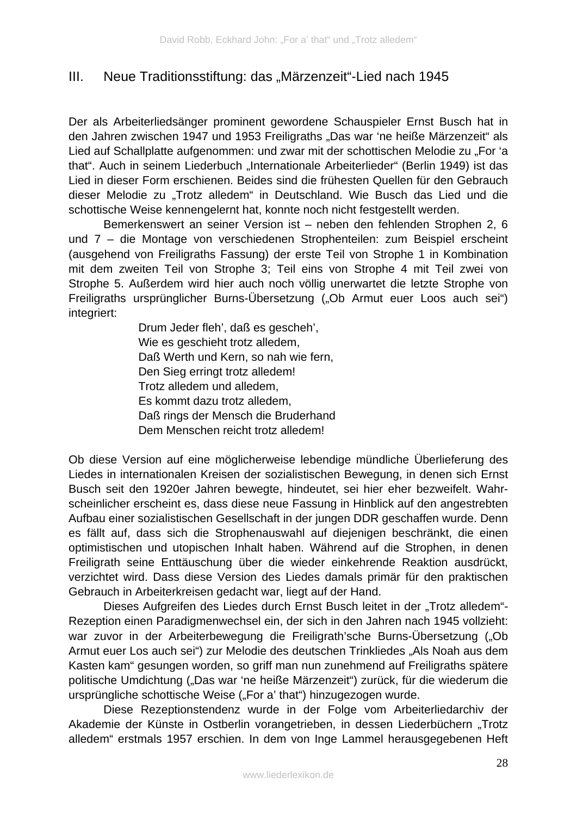### III. Neue Traditionsstiftung: das "Märzenzeit"-Lied nach 1945

Der als Arbeiterliedsänger prominent gewordene Schauspieler Ernst Busch hat in den Jahren zwischen 1947 und 1953 Freiligraths "Das war 'ne heiße Märzenzeit" als Lied auf Schallplatte aufgenommen: und zwar mit der schottischen Melodie zu "For 'a that". Auch in seinem Liederbuch "Internationale Arbeiterlieder" (Berlin 1949) ist das Lied in dieser Form erschienen. Beides sind die frühesten Quellen für den Gebrauch dieser Melodie zu "Trotz alledem" in Deutschland. Wie Busch das Lied und die schottische Weise kennengelernt hat, konnte noch nicht festgestellt werden.

Bemerkenswert an seiner Version ist – neben den fehlenden Strophen 2, 6 und 7 – die Montage von verschiedenen Strophenteilen: zum Beispiel erscheint (ausgehend von Freiligraths Fassung) der erste Teil von Strophe 1 in Kombination mit dem zweiten Teil von Strophe 3; Teil eins von Strophe 4 mit Teil zwei von Strophe 5. Außerdem wird hier auch noch völlig unerwartet die letzte Strophe von Freiligraths ursprünglicher Burns-Übersetzung ("Ob Armut euer Loos auch sei") integriert:

> Drum Jeder fleh', daß es gescheh', Wie es geschieht trotz alledem, Daß Werth und Kern, so nah wie fern, Den Sieg erringt trotz alledem! Trotz alledem und alledem, Es kommt dazu trotz alledem, Daß rings der Mensch die Bruderhand Dem Menschen reicht trotz alledem!

Ob diese Version auf eine möglicherweise lebendige mündliche Überlieferung des Liedes in internationalen Kreisen der sozialistischen Bewegung, in denen sich Ernst Busch seit den 1920er Jahren bewegte, hindeutet, sei hier eher bezweifelt. Wahrscheinlicher erscheint es, dass diese neue Fassung in Hinblick auf den angestrebten Aufbau einer sozialistischen Gesellschaft in der jungen DDR geschaffen wurde. Denn es fällt auf, dass sich die Strophenauswahl auf diejenigen beschränkt, die einen optimistischen und utopischen Inhalt haben. Während auf die Strophen, in denen Freiligrath seine Enttäuschung über die wieder einkehrende Reaktion ausdrückt, verzichtet wird. Dass diese Version des Liedes damals primär für den praktischen Gebrauch in Arbeiterkreisen gedacht war, liegt auf der Hand.

Dieses Aufgreifen des Liedes durch Ernst Busch leitet in der "Trotz alledem"-Rezeption einen Paradigmenwechsel ein, der sich in den Jahren nach 1945 vollzieht: war zuvor in der Arbeiterbewegung die Freiligrath'sche Burns-Übersetzung ("Ob Armut euer Los auch sei") zur Melodie des deutschen Trinkliedes "Als Noah aus dem Kasten kam" gesungen worden, so griff man nun zunehmend auf Freiligraths spätere politische Umdichtung ("Das war 'ne heiße Märzenzeit") zurück, für die wiederum die ursprüngliche schottische Weise ("For a' that") hinzugezogen wurde.

Diese Rezeptionstendenz wurde in der Folge vom Arbeiterliedarchiv der Akademie der Künste in Ostberlin vorangetrieben, in dessen Liederbüchern "Trotz alledem" erstmals 1957 erschien. In dem von Inge Lammel herausgegebenen Heft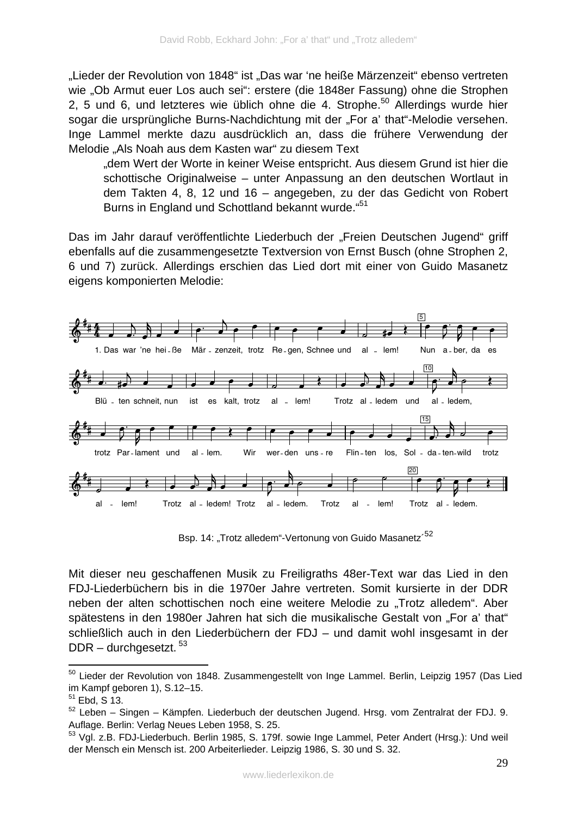"Lieder der Revolution von 1848" ist "Das war 'ne heiße Märzenzeit" ebenso vertreten wie "Ob Armut euer Los auch sei": erstere (die 1848er Fassung) ohne die Strophen 2, 5 und 6, und letzteres wie üblich ohne die 4. Strophe.<sup>50</sup> Allerdings wurde hier sogar die ursprüngliche Burns-Nachdichtung mit der "For a' that"-Melodie versehen. Inge Lammel merkte dazu ausdrücklich an, dass die frühere Verwendung der Melodie "Als Noah aus dem Kasten war" zu diesem Text

"dem Wert der Worte in keiner Weise entspricht. Aus diesem Grund ist hier die schottische Originalweise – unter Anpassung an den deutschen Wortlaut in dem Takten 4, 8, 12 und 16 – angegeben, zu der das Gedicht von Robert Burns in England und Schottland bekannt wurde."51

Das im Jahr darauf veröffentlichte Liederbuch der "Freien Deutschen Jugend" griff ebenfalls auf die zusammengesetzte Textversion von Ernst Busch (ohne Strophen 2, 6 und 7) zurück. Allerdings erschien das Lied dort mit einer von Guido Masanetz eigens komponierten Melodie:



Bsp. 14: "Trotz alledem"-Vertonung von Guido Masanetz<sup>'52</sup>

Mit dieser neu geschaffenen Musik zu Freiligraths 48er-Text war das Lied in den FDJ-Liederbüchern bis in die 1970er Jahre vertreten. Somit kursierte in der DDR neben der alten schottischen noch eine weitere Melodie zu "Trotz alledem". Aber spätestens in den 1980er Jahren hat sich die musikalische Gestalt von "For a' that" schließlich auch in den Liederbüchern der FDJ – und damit wohl insgesamt in der DDR – durchgesetzt. 53

<sup>1</sup> <sup>50</sup> Lieder der Revolution von 1848. Zusammengestellt von Inge Lammel. Berlin, Leipzig 1957 (Das Lied im Kampf geboren 1), S.12–15.

<sup>51</sup> Ebd, S 13.

 $52$  Leben – Singen – Kämpfen. Liederbuch der deutschen Jugend. Hrsg. vom Zentralrat der FDJ. 9. Auflage. Berlin: Verlag Neues Leben 1958, S. 25.

<sup>&</sup>lt;sup>53</sup> Vgl. z.B. FDJ-Liederbuch. Berlin 1985, S. 179f. sowie Inge Lammel, Peter Andert (Hrsg.): Und weil der Mensch ein Mensch ist. 200 Arbeiterlieder. Leipzig 1986, S. 30 und S. 32.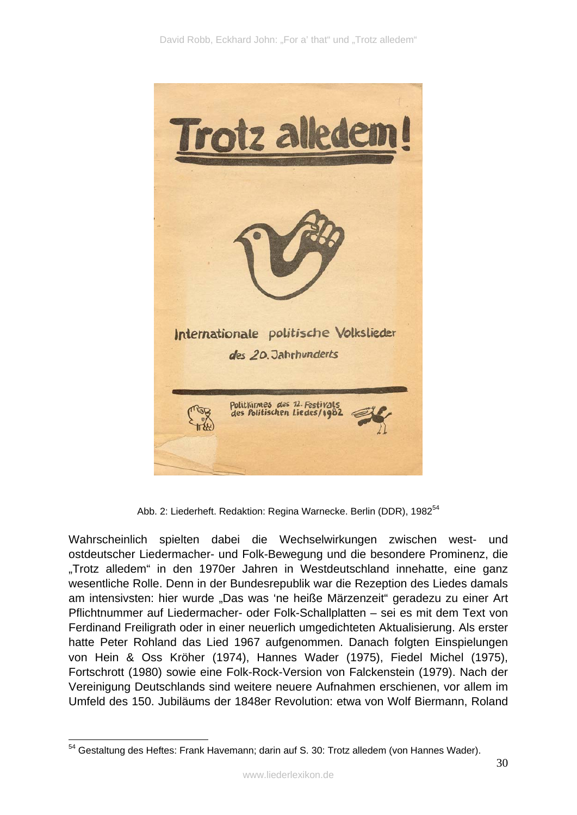

Abb. 2: Liederheft. Redaktion: Regina Warnecke. Berlin (DDR), 1982<sup>54</sup>

Wahrscheinlich spielten dabei die Wechselwirkungen zwischen west- und ostdeutscher Liedermacher- und Folk-Bewegung und die besondere Prominenz, die "Trotz alledem" in den 1970er Jahren in Westdeutschland innehatte, eine ganz wesentliche Rolle. Denn in der Bundesrepublik war die Rezeption des Liedes damals am intensivsten: hier wurde "Das was 'ne heiße Märzenzeit" geradezu zu einer Art Pflichtnummer auf Liedermacher- oder Folk-Schallplatten – sei es mit dem Text von Ferdinand Freiligrath oder in einer neuerlich umgedichteten Aktualisierung. Als erster hatte Peter Rohland das Lied 1967 aufgenommen. Danach folgten Einspielungen von Hein & Oss Kröher (1974), Hannes Wader (1975), Fiedel Michel (1975), Fortschrott (1980) sowie eine Folk-Rock-Version von Falckenstein (1979). Nach der Vereinigung Deutschlands sind weitere neuere Aufnahmen erschienen, vor allem im Umfeld des 150. Jubiläums der 1848er Revolution: etwa von Wolf Biermann, Roland

<sup>1</sup>  $54$  Gestaltung des Heftes: Frank Havemann; darin auf S. 30: Trotz alledem (von Hannes Wader).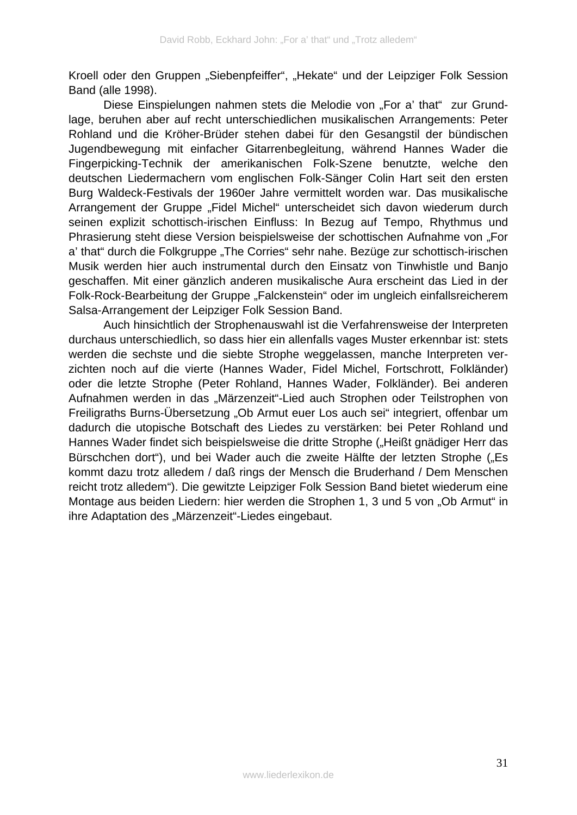Kroell oder den Gruppen "Siebenpfeiffer", "Hekate" und der Leipziger Folk Session Band (alle 1998).

Diese Einspielungen nahmen stets die Melodie von "For a' that" zur Grundlage, beruhen aber auf recht unterschiedlichen musikalischen Arrangements: Peter Rohland und die Kröher-Brüder stehen dabei für den Gesangstil der bündischen Jugendbewegung mit einfacher Gitarrenbegleitung, während Hannes Wader die Fingerpicking-Technik der amerikanischen Folk-Szene benutzte, welche den deutschen Liedermachern vom englischen Folk-Sänger Colin Hart seit den ersten Burg Waldeck-Festivals der 1960er Jahre vermittelt worden war. Das musikalische Arrangement der Gruppe "Fidel Michel" unterscheidet sich davon wiederum durch seinen explizit schottisch-irischen Einfluss: In Bezug auf Tempo, Rhythmus und Phrasierung steht diese Version beispielsweise der schottischen Aufnahme von "For a' that" durch die Folkgruppe "The Corries" sehr nahe. Bezüge zur schottisch-irischen Musik werden hier auch instrumental durch den Einsatz von Tinwhistle und Banjo geschaffen. Mit einer gänzlich anderen musikalische Aura erscheint das Lied in der Folk-Rock-Bearbeitung der Gruppe "Falckenstein" oder im ungleich einfallsreicherem Salsa-Arrangement der Leipziger Folk Session Band.

Auch hinsichtlich der Strophenauswahl ist die Verfahrensweise der Interpreten durchaus unterschiedlich, so dass hier ein allenfalls vages Muster erkennbar ist: stets werden die sechste und die siebte Strophe weggelassen, manche Interpreten verzichten noch auf die vierte (Hannes Wader, Fidel Michel, Fortschrott, Folkländer) oder die letzte Strophe (Peter Rohland, Hannes Wader, Folkländer). Bei anderen Aufnahmen werden in das "Märzenzeit"-Lied auch Strophen oder Teilstrophen von Freiligraths Burns-Übersetzung "Ob Armut euer Los auch sei" integriert, offenbar um dadurch die utopische Botschaft des Liedes zu verstärken: bei Peter Rohland und Hannes Wader findet sich beispielsweise die dritte Strophe ("Heißt gnädiger Herr das Bürschchen dort"), und bei Wader auch die zweite Hälfte der letzten Strophe ("Es kommt dazu trotz alledem / daß rings der Mensch die Bruderhand / Dem Menschen reicht trotz alledem"). Die gewitzte Leipziger Folk Session Band bietet wiederum eine Montage aus beiden Liedern: hier werden die Strophen 1, 3 und 5 von "Ob Armut" in ihre Adaptation des "Märzenzeit"-Liedes eingebaut.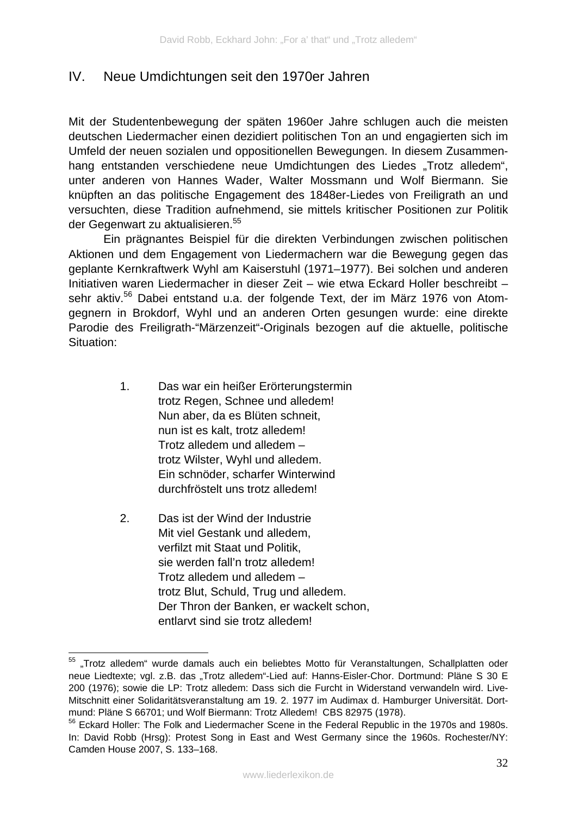### IV. Neue Umdichtungen seit den 1970er Jahren

Mit der Studentenbewegung der späten 1960er Jahre schlugen auch die meisten deutschen Liedermacher einen dezidiert politischen Ton an und engagierten sich im Umfeld der neuen sozialen und oppositionellen Bewegungen. In diesem Zusammenhang entstanden verschiedene neue Umdichtungen des Liedes "Trotz alledem", unter anderen von Hannes Wader, Walter Mossmann und Wolf Biermann. Sie knüpften an das politische Engagement des 1848er-Liedes von Freiligrath an und versuchten, diese Tradition aufnehmend, sie mittels kritischer Positionen zur Politik der Gegenwart zu aktualisieren.<sup>55</sup>

 Ein prägnantes Beispiel für die direkten Verbindungen zwischen politischen Aktionen und dem Engagement von Liedermachern war die Bewegung gegen das geplante Kernkraftwerk Wyhl am Kaiserstuhl (1971–1977). Bei solchen und anderen Initiativen waren Liedermacher in dieser Zeit – wie etwa Eckard Holler beschreibt – sehr aktiv.<sup>56</sup> Dabei entstand u.a. der folgende Text, der im März 1976 von Atomgegnern in Brokdorf, Wyhl und an anderen Orten gesungen wurde: eine direkte Parodie des Freiligrath-"Märzenzeit"-Originals bezogen auf die aktuelle, politische Situation:

- 1. Das war ein heißer Erörterungstermin trotz Regen, Schnee und alledem! Nun aber, da es Blüten schneit, nun ist es kalt, trotz alledem! Trotz alledem und alledem – trotz Wilster, Wyhl und alledem. Ein schnöder, scharfer Winterwind durchfröstelt uns trotz alledem!
- 2. Das ist der Wind der Industrie Mit viel Gestank und alledem, verfilzt mit Staat und Politik, sie werden fall'n trotz alledem! Trotz alledem und alledem – trotz Blut, Schuld, Trug und alledem. Der Thron der Banken, er wackelt schon, entlarvt sind sie trotz alledem!

1

<sup>&</sup>lt;sup>55</sup> "Trotz alledem" wurde damals auch ein beliebtes Motto für Veranstaltungen, Schallplatten oder neue Liedtexte; vgl. z.B. das "Trotz alledem"-Lied auf: Hanns-Eisler-Chor. Dortmund: Pläne S 30 E 200 (1976); sowie die LP: Trotz alledem: Dass sich die Furcht in Widerstand verwandeln wird. Live-Mitschnitt einer Solidaritätsveranstaltung am 19. 2. 1977 im Audimax d. Hamburger Universität. Dortmund: Pläne S 66701; und Wolf Biermann: Trotz Alledem! CBS 82975 (1978).

<sup>&</sup>lt;sup>56</sup> Eckard Holler: The Folk and Liedermacher Scene in the Federal Republic in the 1970s and 1980s. In: David Robb (Hrsg): Protest Song in East and West Germany since the 1960s. Rochester/NY: Camden House 2007, S. 133–168.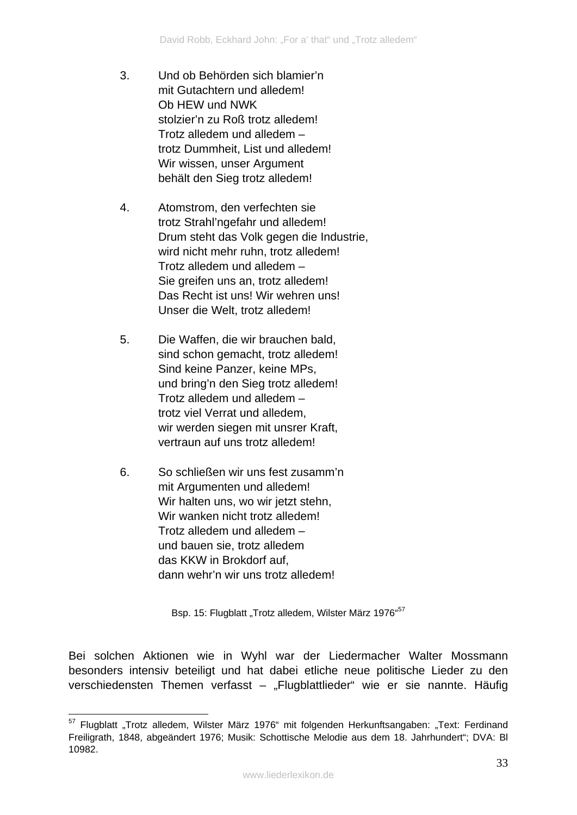- 3. Und ob Behörden sich blamier'n mit Gutachtern und alledem! Ob HEW und NWK stolzier'n zu Roß trotz alledem! Trotz alledem und alledem – trotz Dummheit, List und alledem! Wir wissen, unser Argument behält den Sieg trotz alledem!
- 4. Atomstrom, den verfechten sie trotz Strahl'ngefahr und alledem! Drum steht das Volk gegen die Industrie, wird nicht mehr ruhn, trotz alledem! Trotz alledem und alledem – Sie greifen uns an, trotz alledem! Das Recht ist uns! Wir wehren uns! Unser die Welt, trotz alledem!
- 5. Die Waffen, die wir brauchen bald, sind schon gemacht, trotz alledem! Sind keine Panzer, keine MPs, und bring'n den Sieg trotz alledem! Trotz alledem und alledem – trotz viel Verrat und alledem, wir werden siegen mit unsrer Kraft, vertraun auf uns trotz alledem!
- 6. So schließen wir uns fest zusamm'n mit Argumenten und alledem! Wir halten uns, wo wir jetzt stehn, Wir wanken nicht trotz alledem! Trotz alledem und alledem – und bauen sie, trotz alledem das KKW in Brokdorf auf, dann wehr'n wir uns trotz alledem!

Bsp. 15: Flugblatt "Trotz alledem, Wilster März 1976"<sup>57</sup>

Bei solchen Aktionen wie in Wyhl war der Liedermacher Walter Mossmann besonders intensiv beteiligt und hat dabei etliche neue politische Lieder zu den verschiedensten Themen verfasst – "Flugblattlieder" wie er sie nannte. Häufig

<sup>1</sup> <sup>57</sup> Flugblatt "Trotz alledem, Wilster März 1976" mit folgenden Herkunftsangaben: "Text: Ferdinand Freiligrath, 1848, abgeändert 1976; Musik: Schottische Melodie aus dem 18. Jahrhundert"; DVA: Bl 10982.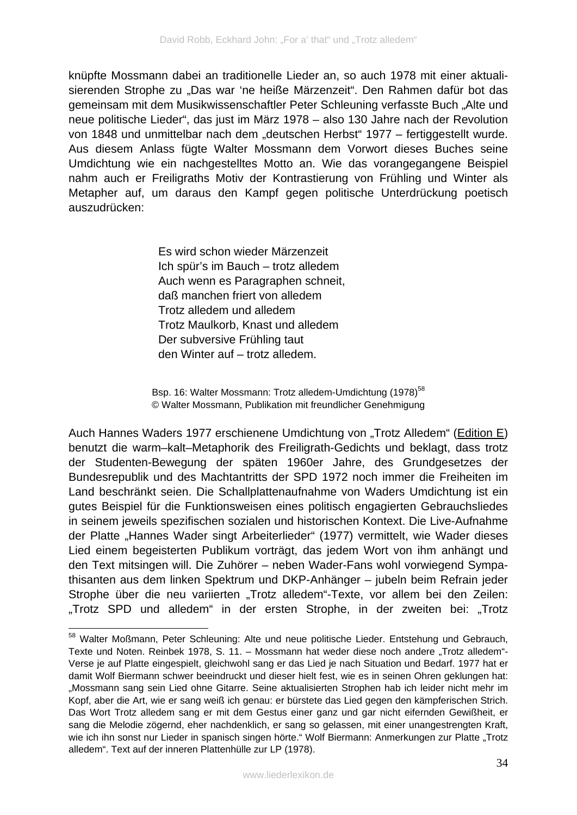knüpfte Mossmann dabei an traditionelle Lieder an, so auch 1978 mit einer aktualisierenden Strophe zu "Das war 'ne heiße Märzenzeit". Den Rahmen dafür bot das gemeinsam mit dem Musikwissenschaftler Peter Schleuning verfasste Buch "Alte und neue politische Lieder", das just im März 1978 – also 130 Jahre nach der Revolution von 1848 und unmittelbar nach dem "deutschen Herbst" 1977 – fertiggestellt wurde. Aus diesem Anlass fügte Walter Mossmann dem Vorwort dieses Buches seine Umdichtung wie ein nachgestelltes Motto an. Wie das vorangegangene Beispiel nahm auch er Freiligraths Motiv der Kontrastierung von Frühling und Winter als Metapher auf, um daraus den Kampf gegen politische Unterdrückung poetisch auszudrücken:

> Es wird schon wieder Märzenzeit Ich spür's im Bauch – trotz alledem Auch wenn es Paragraphen schneit, daß manchen friert von alledem Trotz alledem und alledem Trotz Maulkorb, Knast und alledem Der subversive Frühling taut den Winter auf – trotz alledem.

Bsp. 16: Walter Mossmann: Trotz alledem-Umdichtung (1978)<sup>58</sup> © Walter Mossmann, Publikation mit freundlicher Genehmigung

Auch Hannes Waders 1977 erschienene Umdichtung von "Trotz Alledem" (Edition E) benutzt die warm–kalt–Metaphorik des Freiligrath-Gedichts und beklagt, dass trotz der Studenten-Bewegung der späten 1960er Jahre, des Grundgesetzes der Bundesrepublik und des Machtantritts der SPD 1972 noch immer die Freiheiten im Land beschränkt seien. Die Schallplattenaufnahme von Waders Umdichtung ist ein gutes Beispiel für die Funktionsweisen eines politisch engagierten Gebrauchsliedes in seinem jeweils spezifischen sozialen und historischen Kontext. Die Live-Aufnahme der Platte "Hannes Wader singt Arbeiterlieder" (1977) vermittelt, wie Wader dieses Lied einem begeisterten Publikum vorträgt, das jedem Wort von ihm anhängt und den Text mitsingen will. Die Zuhörer – neben Wader-Fans wohl vorwiegend Sympathisanten aus dem linken Spektrum und DKP-Anhänger – jubeln beim Refrain jeder Strophe über die neu variierten "Trotz alledem"-Texte, vor allem bei den Zeilen: "Trotz SPD und alledem" in der ersten Strophe, in der zweiten bei: "Trotz

<sup>&</sup>lt;u>.</u> 58 Walter Moßmann, Peter Schleuning: Alte und neue politische Lieder. Entstehung und Gebrauch, Texte und Noten. Reinbek 1978, S. 11. – Mossmann hat weder diese noch andere "Trotz alledem"-Verse je auf Platte eingespielt, gleichwohl sang er das Lied je nach Situation und Bedarf. 1977 hat er damit Wolf Biermann schwer beeindruckt und dieser hielt fest, wie es in seinen Ohren geklungen hat: "Mossmann sang sein Lied ohne Gitarre. Seine aktualisierten Strophen hab ich leider nicht mehr im Kopf, aber die Art, wie er sang weiß ich genau: er bürstete das Lied gegen den kämpferischen Strich. Das Wort Trotz alledem sang er mit dem Gestus einer ganz und gar nicht eifernden Gewißheit, er sang die Melodie zögernd, eher nachdenklich, er sang so gelassen, mit einer unangestrengten Kraft, wie ich ihn sonst nur Lieder in spanisch singen hörte." Wolf Biermann: Anmerkungen zur Platte "Trotz alledem". Text auf der inneren Plattenhülle zur LP (1978).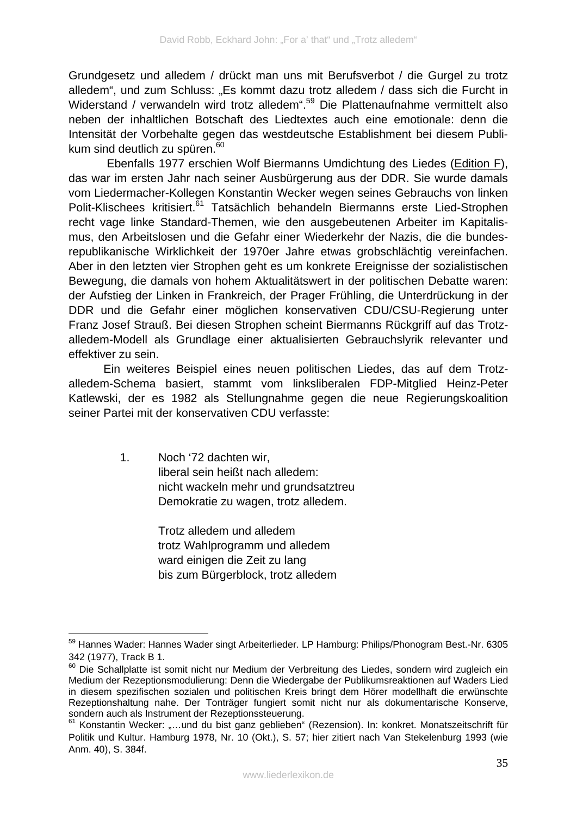Grundgesetz und alledem / drückt man uns mit Berufsverbot / die Gurgel zu trotz alledem", und zum Schluss: "Es kommt dazu trotz alledem / dass sich die Furcht in Widerstand / verwandeln wird trotz alledem".<sup>59</sup> Die Plattenaufnahme vermittelt also neben der inhaltlichen Botschaft des Liedtextes auch eine emotionale: denn die Intensität der Vorbehalte gegen das westdeutsche Establishment bei diesem Publikum sind deutlich zu spüren.<sup>60</sup>

 Ebenfalls 1977 erschien Wolf Biermanns Umdichtung des Liedes (Edition F), das war im ersten Jahr nach seiner Ausbürgerung aus der DDR. Sie wurde damals vom Liedermacher-Kollegen Konstantin Wecker wegen seines Gebrauchs von linken Polit-Klischees kritisiert.<sup>61</sup> Tatsächlich behandeln Biermanns erste Lied-Strophen recht vage linke Standard-Themen, wie den ausgebeutenen Arbeiter im Kapitalismus, den Arbeitslosen und die Gefahr einer Wiederkehr der Nazis, die die bundesrepublikanische Wirklichkeit der 1970er Jahre etwas grobschlächtig vereinfachen. Aber in den letzten vier Strophen geht es um konkrete Ereignisse der sozialistischen Bewegung, die damals von hohem Aktualitätswert in der politischen Debatte waren: der Aufstieg der Linken in Frankreich, der Prager Frühling, die Unterdrückung in der DDR und die Gefahr einer möglichen konservativen CDU/CSU-Regierung unter Franz Josef Strauß. Bei diesen Strophen scheint Biermanns Rückgriff auf das Trotzalledem-Modell als Grundlage einer aktualisierten Gebrauchslyrik relevanter und effektiver zu sein.

Ein weiteres Beispiel eines neuen politischen Liedes, das auf dem Trotzalledem-Schema basiert, stammt vom linksliberalen FDP-Mitglied Heinz-Peter Katlewski, der es 1982 als Stellungnahme gegen die neue Regierungskoalition seiner Partei mit der konservativen CDU verfasste:

> 1. Noch '72 dachten wir, liberal sein heißt nach alledem: nicht wackeln mehr und grundsatztreu Demokratie zu wagen, trotz alledem.

> > Trotz alledem und alledem trotz Wahlprogramm und alledem ward einigen die Zeit zu lang bis zum Bürgerblock, trotz alledem

1

<sup>59</sup> Hannes Wader: Hannes Wader singt Arbeiterlieder. LP Hamburg: Philips/Phonogram Best.-Nr. 6305 342 (1977), Track B 1.

<sup>60</sup> Die Schallplatte ist somit nicht nur Medium der Verbreitung des Liedes, sondern wird zugleich ein Medium der Rezeptionsmodulierung: Denn die Wiedergabe der Publikumsreaktionen auf Waders Lied in diesem spezifischen sozialen und politischen Kreis bringt dem Hörer modellhaft die erwünschte Rezeptionshaltung nahe. Der Tonträger fungiert somit nicht nur als dokumentarische Konserve, sondern auch als Instrument der Rezeptionssteuerung.

<sup>&</sup>lt;sup>61</sup> Konstantin Wecker: ....und du bist ganz geblieben" (Rezension). In: konkret. Monatszeitschrift für Politik und Kultur. Hamburg 1978, Nr. 10 (Okt.), S. 57; hier zitiert nach Van Stekelenburg 1993 (wie Anm. 40), S. 384f.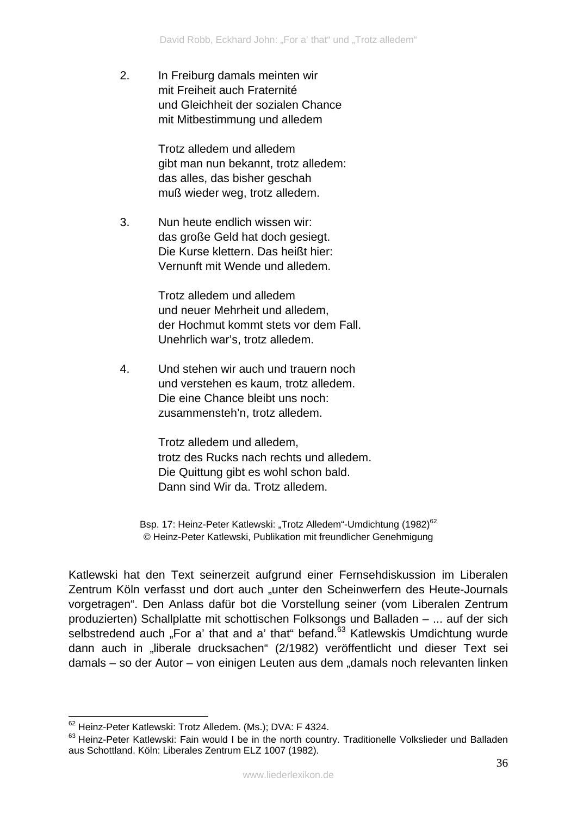2. In Freiburg damals meinten wir mit Freiheit auch Fraternité und Gleichheit der sozialen Chance mit Mitbestimmung und alledem

> Trotz alledem und alledem gibt man nun bekannt, trotz alledem: das alles, das bisher geschah muß wieder weg, trotz alledem.

3. Nun heute endlich wissen wir: das große Geld hat doch gesiegt. Die Kurse klettern. Das heißt hier: Vernunft mit Wende und alledem.

> Trotz alledem und alledem und neuer Mehrheit und alledem, der Hochmut kommt stets vor dem Fall. Unehrlich war's, trotz alledem.

4. Und stehen wir auch und trauern noch und verstehen es kaum, trotz alledem. Die eine Chance bleibt uns noch: zusammensteh'n, trotz alledem.

> Trotz alledem und alledem, trotz des Rucks nach rechts und alledem. Die Quittung gibt es wohl schon bald. Dann sind Wir da. Trotz alledem.

Bsp. 17: Heinz-Peter Katlewski: "Trotz Alledem"-Umdichtung (1982)<sup>62</sup> © Heinz-Peter Katlewski, Publikation mit freundlicher Genehmigung

Katlewski hat den Text seinerzeit aufgrund einer Fernsehdiskussion im Liberalen Zentrum Köln verfasst und dort auch "unter den Scheinwerfern des Heute-Journals vorgetragen". Den Anlass dafür bot die Vorstellung seiner (vom Liberalen Zentrum produzierten) Schallplatte mit schottischen Folksongs und Balladen – ... auf der sich selbstredend auch "For a' that and a' that" befand. $63$  Katlewskis Umdichtung wurde dann auch in "liberale drucksachen" (2/1982) veröffentlicht und dieser Text sei damals – so der Autor – von einigen Leuten aus dem "damals noch relevanten linken

1

<sup>&</sup>lt;sup>62</sup> Heinz-Peter Katlewski: Trotz Alledem. (Ms.); DVA: F 4324.

<sup>&</sup>lt;sup>63</sup> Heinz-Peter Katlewski: Fain would I be in the north country. Traditionelle Volkslieder und Balladen aus Schottland. Köln: Liberales Zentrum ELZ 1007 (1982).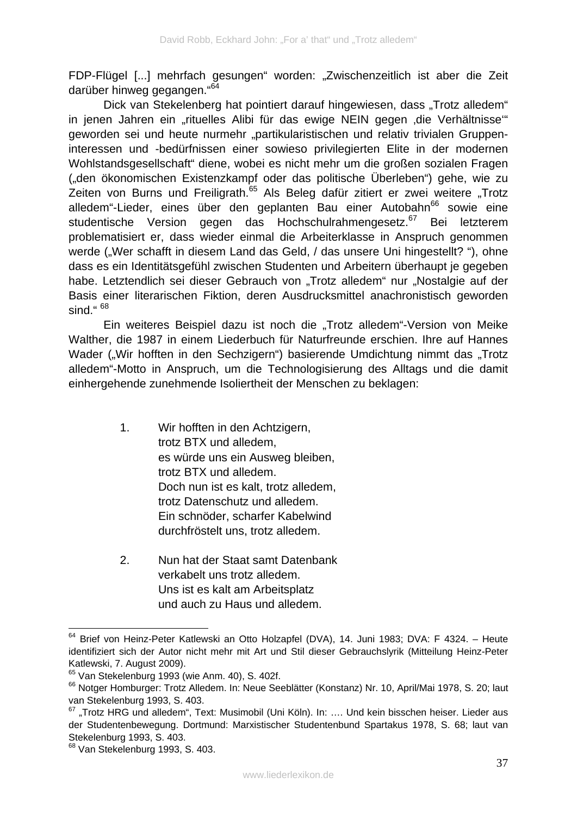FDP-Flügel [...] mehrfach gesungen" worden: "Zwischenzeitlich ist aber die Zeit darüber hinweg gegangen."<sup>64</sup>

Dick van Stekelenberg hat pointiert darauf hingewiesen, dass "Trotz alledem" in jenen Jahren ein "rituelles Alibi für das ewige NEIN gegen ,die Verhältnisse" geworden sei und heute nurmehr "partikularistischen und relativ trivialen Gruppeninteressen und -bedürfnissen einer sowieso privilegierten Elite in der modernen Wohlstandsgesellschaft" diene, wobei es nicht mehr um die großen sozialen Fragen ("den ökonomischen Existenzkampf oder das politische Überleben") gehe, wie zu Zeiten von Burns und Freiligrath.<sup>65</sup> Als Beleg dafür zitiert er zwei weitere "Trotz alledem"-Lieder, eines über den geplanten Bau einer Autobahn<sup>66</sup> sowie eine studentische Version gegen das Hochschulrahmengesetz.<sup>67</sup> Bei letzterem problematisiert er, dass wieder einmal die Arbeiterklasse in Anspruch genommen werde ("Wer schafft in diesem Land das Geld, / das unsere Uni hingestellt? "), ohne dass es ein Identitätsgefühl zwischen Studenten und Arbeitern überhaupt je gegeben habe. Letztendlich sei dieser Gebrauch von "Trotz alledem" nur "Nostalgie auf der Basis einer literarischen Fiktion, deren Ausdrucksmittel anachronistisch geworden sind." $68$ 

Ein weiteres Beispiel dazu ist noch die "Trotz alledem"-Version von Meike Walther, die 1987 in einem Liederbuch für Naturfreunde erschien. Ihre auf Hannes Wader ("Wir hofften in den Sechzigern") basierende Umdichtung nimmt das "Trotz alledem"-Motto in Anspruch, um die Technologisierung des Alltags und die damit einhergehende zunehmende Isoliertheit der Menschen zu beklagen:

- 1. Wir hofften in den Achtzigern, trotz BTX und alledem, es würde uns ein Ausweg bleiben, trotz BTX und alledem. Doch nun ist es kalt, trotz alledem, trotz Datenschutz und alledem. Ein schnöder, scharfer Kabelwind durchfröstelt uns, trotz alledem.
- 2. Nun hat der Staat samt Datenbank verkabelt uns trotz alledem. Uns ist es kalt am Arbeitsplatz und auch zu Haus und alledem.

<sup>&</sup>lt;u>.</u> <sup>64</sup> Brief von Heinz-Peter Katlewski an Otto Holzapfel (DVA), 14. Juni 1983; DVA: F 4324. – Heute identifiziert sich der Autor nicht mehr mit Art und Stil dieser Gebrauchslyrik (Mitteilung Heinz-Peter Katlewski, 7. August 2009).

 $65$  Van Stekelenburg 1993 (wie Anm. 40), S. 402f.

<sup>&</sup>lt;sup>66</sup> Notger Homburger: Trotz Alledem. In: Neue Seeblätter (Konstanz) Nr. 10, April/Mai 1978, S. 20; laut van Stekelenburg 1993, S. 403.

<sup>67 &</sup>quot;Trotz HRG und alledem", Text: Musimobil (Uni Köln). In: .... Und kein bisschen heiser. Lieder aus der Studentenbewegung. Dortmund: Marxistischer Studentenbund Spartakus 1978, S. 68; laut van Stekelenburg 1993, S. 403.

<sup>68</sup> Van Stekelenburg 1993, S. 403.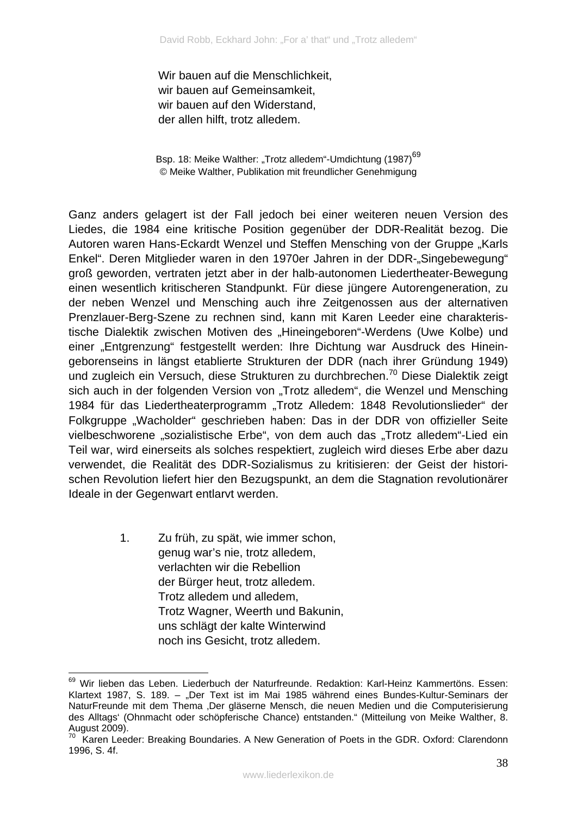Wir bauen auf die Menschlichkeit, wir bauen auf Gemeinsamkeit, wir bauen auf den Widerstand, der allen hilft, trotz alledem.

Bsp. 18: Meike Walther: "Trotz alledem"-Umdichtung (1987)<sup>69</sup> © Meike Walther, Publikation mit freundlicher Genehmigung

Ganz anders gelagert ist der Fall jedoch bei einer weiteren neuen Version des Liedes, die 1984 eine kritische Position gegenüber der DDR-Realität bezog. Die Autoren waren Hans-Eckardt Wenzel und Steffen Mensching von der Gruppe "Karls Enkel". Deren Mitglieder waren in den 1970er Jahren in der DDR-"Singebewegung" groß geworden, vertraten jetzt aber in der halb-autonomen Liedertheater-Bewegung einen wesentlich kritischeren Standpunkt. Für diese jüngere Autorengeneration, zu der neben Wenzel und Mensching auch ihre Zeitgenossen aus der alternativen Prenzlauer-Berg-Szene zu rechnen sind, kann mit Karen Leeder eine charakteristische Dialektik zwischen Motiven des "Hineingeboren"-Werdens (Uwe Kolbe) und einer "Entgrenzung" festgestellt werden: Ihre Dichtung war Ausdruck des Hineingeborenseins in längst etablierte Strukturen der DDR (nach ihrer Gründung 1949) und zugleich ein Versuch, diese Strukturen zu durchbrechen.<sup>70</sup> Diese Dialektik zeigt sich auch in der folgenden Version von "Trotz alledem", die Wenzel und Mensching 1984 für das Liedertheaterprogramm "Trotz Alledem: 1848 Revolutionslieder" der Folkgruppe "Wacholder" geschrieben haben: Das in der DDR von offizieller Seite vielbeschworene "sozialistische Erbe", von dem auch das "Trotz alledem"-Lied ein Teil war, wird einerseits als solches respektiert, zugleich wird dieses Erbe aber dazu verwendet, die Realität des DDR-Sozialismus zu kritisieren: der Geist der historischen Revolution liefert hier den Bezugspunkt, an dem die Stagnation revolutionärer Ideale in der Gegenwart entlarvt werden.

> 1. Zu früh, zu spät, wie immer schon, genug war's nie, trotz alledem, verlachten wir die Rebellion der Bürger heut, trotz alledem. Trotz alledem und alledem, Trotz Wagner, Weerth und Bakunin, uns schlägt der kalte Winterwind noch ins Gesicht, trotz alledem.

<sup>69</sup> 69 Wir lieben das Leben. Liederbuch der Naturfreunde. Redaktion: Karl-Heinz Kammertöns. Essen: Klartext 1987, S. 189. – "Der Text ist im Mai 1985 während eines Bundes-Kultur-Seminars der NaturFreunde mit dem Thema 'Der gläserne Mensch, die neuen Medien und die Computerisierung des Alltags' (Ohnmacht oder schöpferische Chance) entstanden." (Mitteilung von Meike Walther, 8. August 2009).

<sup>70</sup> Karen Leeder: Breaking Boundaries. A New Generation of Poets in the GDR. Oxford: Clarendonn 1996, S. 4f.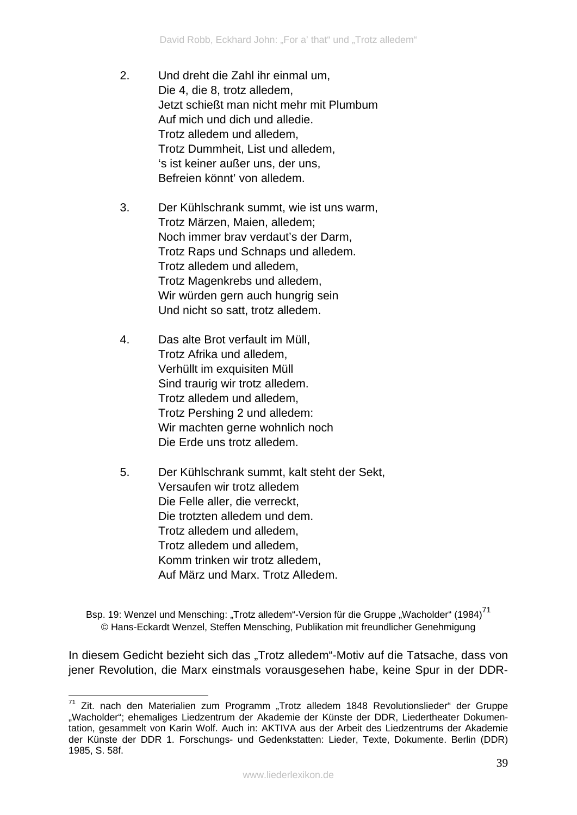- 2. Und dreht die Zahl ihr einmal um, Die 4, die 8, trotz alledem, Jetzt schießt man nicht mehr mit Plumbum Auf mich und dich und alledie. Trotz alledem und alledem, Trotz Dummheit, List und alledem, 's ist keiner außer uns, der uns, Befreien könnt' von alledem.
- 3. Der Kühlschrank summt, wie ist uns warm, Trotz Märzen, Maien, alledem; Noch immer brav verdaut's der Darm, Trotz Raps und Schnaps und alledem. Trotz alledem und alledem, Trotz Magenkrebs und alledem, Wir würden gern auch hungrig sein Und nicht so satt, trotz alledem.
- 4. Das alte Brot verfault im Müll, Trotz Afrika und alledem, Verhüllt im exquisiten Müll Sind traurig wir trotz alledem. Trotz alledem und alledem, Trotz Pershing 2 und alledem: Wir machten gerne wohnlich noch Die Erde uns trotz alledem.
- 5. Der Kühlschrank summt, kalt steht der Sekt, Versaufen wir trotz alledem Die Felle aller, die verreckt, Die trotzten alledem und dem. Trotz alledem und alledem, Trotz alledem und alledem, Komm trinken wir trotz alledem, Auf März und Marx. Trotz Alledem.

Bsp. 19: Wenzel und Mensching: "Trotz alledem"-Version für die Gruppe "Wacholder" (1984)<sup>71</sup> © Hans-Eckardt Wenzel, Steffen Mensching, Publikation mit freundlicher Genehmigung

In diesem Gedicht bezieht sich das "Trotz alledem"-Motiv auf die Tatsache, dass von jener Revolution, die Marx einstmals vorausgesehen habe, keine Spur in der DDR-

<sup>&</sup>lt;u>.</u>  $71$  Zit. nach den Materialien zum Programm "Trotz alledem 1848 Revolutionslieder" der Gruppe "Wacholder"; ehemaliges Liedzentrum der Akademie der Künste der DDR, Liedertheater Dokumentation, gesammelt von Karin Wolf. Auch in: AKTIVA aus der Arbeit des Liedzentrums der Akademie der Künste der DDR 1. Forschungs- und Gedenkstatten: Lieder, Texte, Dokumente. Berlin (DDR) 1985, S. 58f.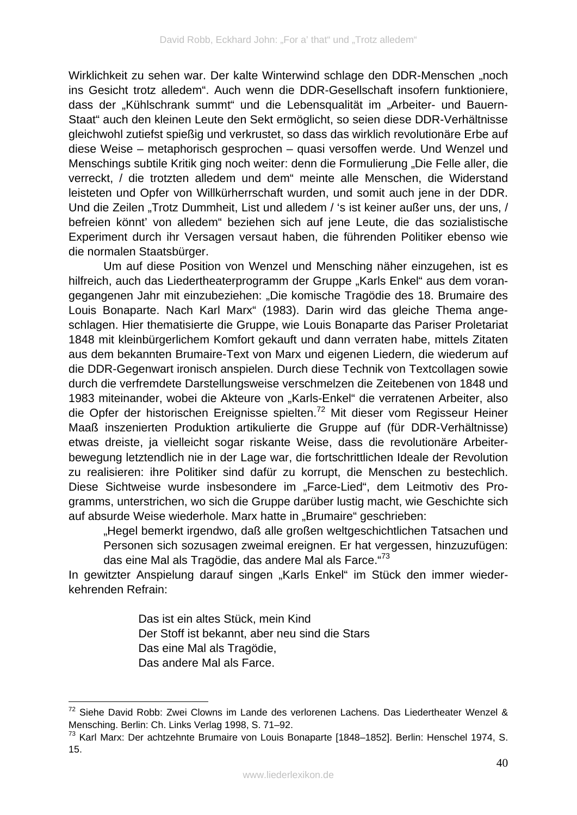Wirklichkeit zu sehen war. Der kalte Winterwind schlage den DDR-Menschen "noch ins Gesicht trotz alledem". Auch wenn die DDR-Gesellschaft insofern funktioniere, dass der "Kühlschrank summt" und die Lebensqualität im "Arbeiter- und Bauern-Staat" auch den kleinen Leute den Sekt ermöglicht, so seien diese DDR-Verhältnisse gleichwohl zutiefst spießig und verkrustet, so dass das wirklich revolutionäre Erbe auf diese Weise – metaphorisch gesprochen – quasi versoffen werde. Und Wenzel und Menschings subtile Kritik ging noch weiter: denn die Formulierung "Die Felle aller, die verreckt, / die trotzten alledem und dem" meinte alle Menschen, die Widerstand leisteten und Opfer von Willkürherrschaft wurden, und somit auch jene in der DDR. Und die Zeilen "Trotz Dummheit, List und alledem / 's ist keiner außer uns, der uns, / befreien könnt' von alledem" beziehen sich auf jene Leute, die das sozialistische Experiment durch ihr Versagen versaut haben, die führenden Politiker ebenso wie die normalen Staatsbürger.

Um auf diese Position von Wenzel und Mensching näher einzugehen, ist es hilfreich, auch das Liedertheaterprogramm der Gruppe "Karls Enkel" aus dem vorangegangenen Jahr mit einzubeziehen: "Die komische Tragödie des 18. Brumaire des Louis Bonaparte. Nach Karl Marx" (1983). Darin wird das gleiche Thema angeschlagen. Hier thematisierte die Gruppe, wie Louis Bonaparte das Pariser Proletariat 1848 mit kleinbürgerlichem Komfort gekauft und dann verraten habe, mittels Zitaten aus dem bekannten Brumaire-Text von Marx und eigenen Liedern, die wiederum auf die DDR-Gegenwart ironisch anspielen. Durch diese Technik von Textcollagen sowie durch die verfremdete Darstellungsweise verschmelzen die Zeitebenen von 1848 und 1983 miteinander, wobei die Akteure von "Karls-Enkel" die verratenen Arbeiter, also die Opfer der historischen Ereignisse spielten.<sup>72</sup> Mit dieser vom Regisseur Heiner Maaß inszenierten Produktion artikulierte die Gruppe auf (für DDR-Verhältnisse) etwas dreiste, ja vielleicht sogar riskante Weise, dass die revolutionäre Arbeiterbewegung letztendlich nie in der Lage war, die fortschrittlichen Ideale der Revolution zu realisieren: ihre Politiker sind dafür zu korrupt, die Menschen zu bestechlich. Diese Sichtweise wurde insbesondere im "Farce-Lied", dem Leitmotiv des Programms, unterstrichen, wo sich die Gruppe darüber lustig macht, wie Geschichte sich auf absurde Weise wiederhole. Marx hatte in "Brumaire" geschrieben:

"Hegel bemerkt irgendwo, daß alle großen weltgeschichtlichen Tatsachen und Personen sich sozusagen zweimal ereignen. Er hat vergessen, hinzuzufügen: das eine Mal als Tragödie, das andere Mal als Farce."<sup>73</sup>

In gewitzter Anspielung darauf singen "Karls Enkel" im Stück den immer wiederkehrenden Refrain:

> Das ist ein altes Stück, mein Kind Der Stoff ist bekannt, aber neu sind die Stars Das eine Mal als Tragödie, Das andere Mal als Farce.

1

 $72$  Siehe David Robb: Zwei Clowns im Lande des verlorenen Lachens. Das Liedertheater Wenzel & Mensching. Berlin: Ch. Links Verlag 1998, S. 71–92.

<sup>&</sup>lt;sup>73</sup> Karl Marx: Der achtzehnte Brumaire von Louis Bonaparte [1848–1852]. Berlin: Henschel 1974, S. 15.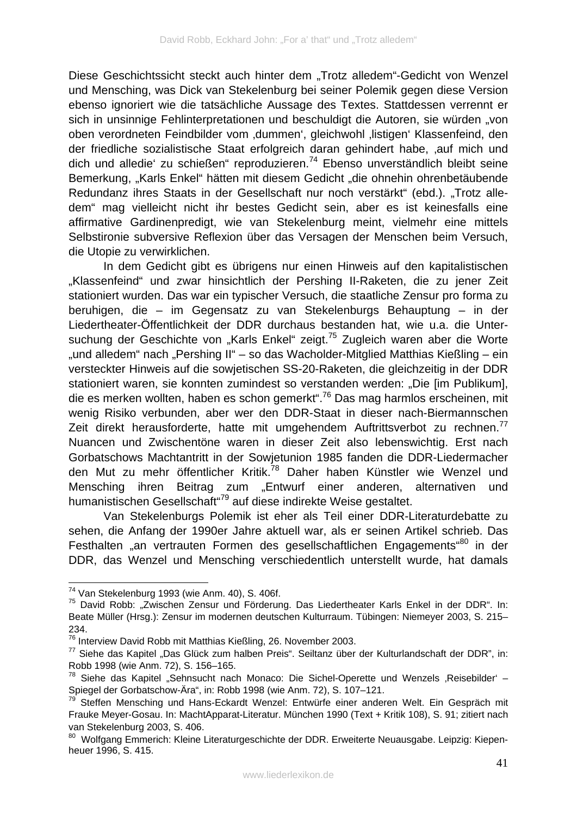Diese Geschichtssicht steckt auch hinter dem "Trotz alledem"-Gedicht von Wenzel und Mensching, was Dick van Stekelenburg bei seiner Polemik gegen diese Version ebenso ignoriert wie die tatsächliche Aussage des Textes. Stattdessen verrennt er sich in unsinnige Fehlinterpretationen und beschuldigt die Autoren, sie würden "von oben verordneten Feindbilder vom 'dummen', gleichwohl 'listigen' Klassenfeind, den der friedliche sozialistische Staat erfolgreich daran gehindert habe, auf mich und dich und alledie' zu schießen" reproduzieren.74 Ebenso unverständlich bleibt seine Bemerkung, "Karls Enkel" hätten mit diesem Gedicht "die ohnehin ohrenbetäubende Redundanz ihres Staats in der Gesellschaft nur noch verstärkt" (ebd.). "Trotz alledem" mag vielleicht nicht ihr bestes Gedicht sein, aber es ist keinesfalls eine affirmative Gardinenpredigt, wie van Stekelenburg meint, vielmehr eine mittels Selbstironie subversive Reflexion über das Versagen der Menschen beim Versuch, die Utopie zu verwirklichen.

In dem Gedicht gibt es übrigens nur einen Hinweis auf den kapitalistischen "Klassenfeind" und zwar hinsichtlich der Pershing II-Raketen, die zu jener Zeit stationiert wurden. Das war ein typischer Versuch, die staatliche Zensur pro forma zu beruhigen, die – im Gegensatz zu van Stekelenburgs Behauptung – in der Liedertheater-Öffentlichkeit der DDR durchaus bestanden hat, wie u.a. die Untersuchung der Geschichte von "Karls Enkel" zeigt.<sup>75</sup> Zugleich waren aber die Worte "und alledem" nach "Pershing II" – so das Wacholder-Mitglied Matthias Kießling – ein versteckter Hinweis auf die sowjetischen SS-20-Raketen, die gleichzeitig in der DDR stationiert waren, sie konnten zumindest so verstanden werden: "Die [im Publikum], die es merken wollten, haben es schon gemerkt".76 Das mag harmlos erscheinen, mit wenig Risiko verbunden, aber wer den DDR-Staat in dieser nach-Biermannschen Zeit direkt herausforderte, hatte mit umgehendem Auftrittsverbot zu rechnen.<sup>77</sup> Nuancen und Zwischentöne waren in dieser Zeit also lebenswichtig. Erst nach Gorbatschows Machtantritt in der Sowjetunion 1985 fanden die DDR-Liedermacher den Mut zu mehr öffentlicher Kritik.<sup>78</sup> Daher haben Künstler wie Wenzel und Mensching ihren Beitrag zum "Entwurf einer anderen, alternativen und humanistischen Gesellschaft<sup>"79</sup> auf diese indirekte Weise gestaltet.

Van Stekelenburgs Polemik ist eher als Teil einer DDR-Literaturdebatte zu sehen, die Anfang der 1990er Jahre aktuell war, als er seinen Artikel schrieb. Das Festhalten "an vertrauten Formen des gesellschaftlichen Engagements"<sup>80</sup> in der DDR, das Wenzel und Mensching verschiedentlich unterstellt wurde, hat damals

<sup>74</sup> Van Stekelenburg 1993 (wie Anm. 40), S. 406f.

<sup>&</sup>lt;sup>75</sup> David Robb: "Zwischen Zensur und Förderung. Das Liedertheater Karls Enkel in der DDR". In: Beate Müller (Hrsg.): Zensur im modernen deutschen Kulturraum. Tübingen: Niemeyer 2003, S. 215– 234.

<sup>76</sup> Interview David Robb mit Matthias Kießling, 26. November 2003.

 $77$  Siehe das Kapitel "Das Glück zum halben Preis". Seiltanz über der Kulturlandschaft der DDR", in: Robb 1998 (wie Anm. 72), S. 156–165.

 $78$  Siehe das Kapitel "Sehnsucht nach Monaco: Die Sichel-Operette und Wenzels "Reisebilder' – Spiegel der Gorbatschow-Ära", in: Robb 1998 (wie Anm. 72), S. 107–121.

<sup>&</sup>lt;sup>79</sup> Steffen Mensching und Hans-Eckardt Wenzel: Entwürfe einer anderen Welt. Ein Gespräch mit Frauke Meyer-Gosau. In: MachtApparat-Literatur. München 1990 (Text + Kritik 108), S. 91; zitiert nach van Stekelenburg 2003, S. 406.

<sup>80</sup> Wolfgang Emmerich: Kleine Literaturgeschichte der DDR. Erweiterte Neuausgabe. Leipzig: Kiepenheuer 1996, S. 415.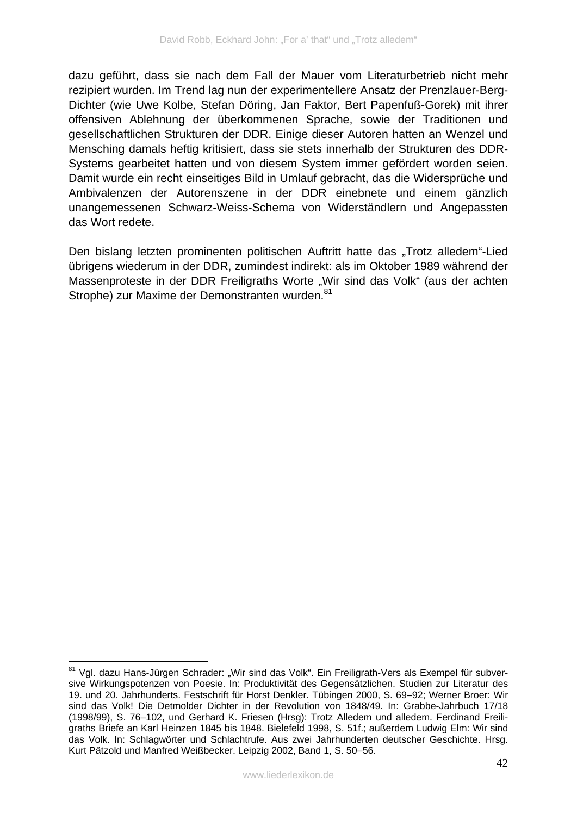dazu geführt, dass sie nach dem Fall der Mauer vom Literaturbetrieb nicht mehr rezipiert wurden. Im Trend lag nun der experimentellere Ansatz der Prenzlauer-Berg-Dichter (wie Uwe Kolbe, Stefan Döring, Jan Faktor, Bert Papenfuß-Gorek) mit ihrer offensiven Ablehnung der überkommenen Sprache, sowie der Traditionen und gesellschaftlichen Strukturen der DDR. Einige dieser Autoren hatten an Wenzel und Mensching damals heftig kritisiert, dass sie stets innerhalb der Strukturen des DDR-Systems gearbeitet hatten und von diesem System immer gefördert worden seien. Damit wurde ein recht einseitiges Bild in Umlauf gebracht, das die Widersprüche und Ambivalenzen der Autorenszene in der DDR einebnete und einem gänzlich unangemessenen Schwarz-Weiss-Schema von Widerständlern und Angepassten das Wort redete.

Den bislang letzten prominenten politischen Auftritt hatte das "Trotz alledem"-Lied übrigens wiederum in der DDR, zumindest indirekt: als im Oktober 1989 während der Massenproteste in der DDR Freiligraths Worte "Wir sind das Volk" (aus der achten Strophe) zur Maxime der Demonstranten wurden.<sup>81</sup>

<u>.</u>

<sup>&</sup>lt;sup>81</sup> Vgl. dazu Hans-Jürgen Schrader: "Wir sind das Volk". Ein Freiligrath-Vers als Exempel für subversive Wirkungspotenzen von Poesie. In: Produktivität des Gegensätzlichen. Studien zur Literatur des 19. und 20. Jahrhunderts. Festschrift für Horst Denkler. Tübingen 2000, S. 69–92; Werner Broer: Wir sind das Volk! Die Detmolder Dichter in der Revolution von 1848/49. In: Grabbe-Jahrbuch 17/18 (1998/99), S. 76–102, und Gerhard K. Friesen (Hrsg): Trotz Alledem und alledem. Ferdinand Freiligraths Briefe an Karl Heinzen 1845 bis 1848. Bielefeld 1998, S. 51f.; außerdem Ludwig Elm: Wir sind das Volk. In: Schlagwörter und Schlachtrufe. Aus zwei Jahrhunderten deutscher Geschichte. Hrsg. Kurt Pätzold und Manfred Weißbecker. Leipzig 2002, Band 1, S. 50–56.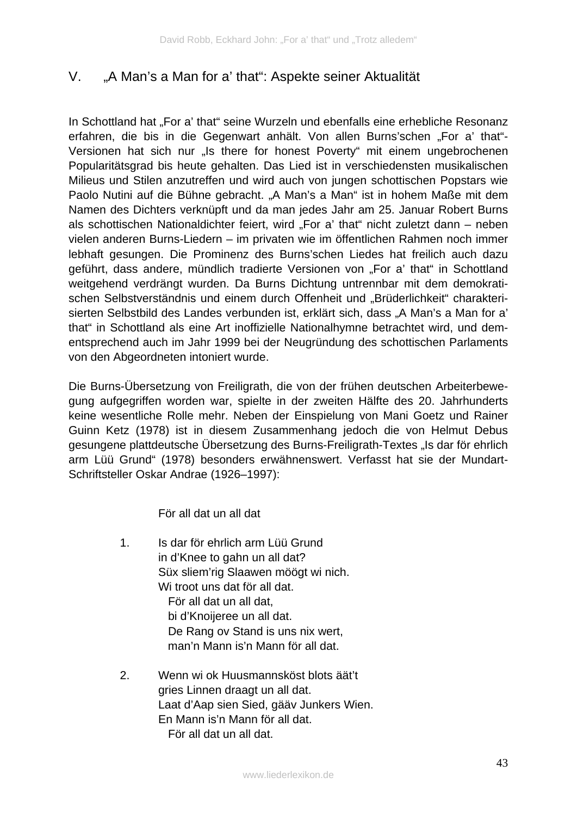# V. "A Man's a Man for a' that": Aspekte seiner Aktualität

In Schottland hat "For a' that" seine Wurzeln und ebenfalls eine erhebliche Resonanz erfahren, die bis in die Gegenwart anhält. Von allen Burns'schen "For a' that"-Versionen hat sich nur "Is there for honest Poverty" mit einem ungebrochenen Popularitätsgrad bis heute gehalten. Das Lied ist in verschiedensten musikalischen Milieus und Stilen anzutreffen und wird auch von jungen schottischen Popstars wie Paolo Nutini auf die Bühne gebracht. "A Man's a Man" ist in hohem Maße mit dem Namen des Dichters verknüpft und da man jedes Jahr am 25. Januar Robert Burns als schottischen Nationaldichter feiert, wird "For a' that" nicht zuletzt dann – neben vielen anderen Burns-Liedern – im privaten wie im öffentlichen Rahmen noch immer lebhaft gesungen. Die Prominenz des Burns'schen Liedes hat freilich auch dazu geführt, dass andere, mündlich tradierte Versionen von "For a' that" in Schottland weitgehend verdrängt wurden. Da Burns Dichtung untrennbar mit dem demokratischen Selbstverständnis und einem durch Offenheit und "Brüderlichkeit" charakterisierten Selbstbild des Landes verbunden ist, erklärt sich, dass "A Man's a Man for a' that" in Schottland als eine Art inoffizielle Nationalhymne betrachtet wird, und dementsprechend auch im Jahr 1999 bei der Neugründung des schottischen Parlaments von den Abgeordneten intoniert wurde.

Die Burns-Übersetzung von Freiligrath, die von der frühen deutschen Arbeiterbewegung aufgegriffen worden war, spielte in der zweiten Hälfte des 20. Jahrhunderts keine wesentliche Rolle mehr. Neben der Einspielung von Mani Goetz und Rainer Guinn Ketz (1978) ist in diesem Zusammenhang jedoch die von Helmut Debus gesungene plattdeutsche Übersetzung des Burns-Freiligrath-Textes "Is dar för ehrlich arm Lüü Grund" (1978) besonders erwähnenswert. Verfasst hat sie der Mundart-Schriftsteller Oskar Andrae (1926–1997):

För all dat un all dat

- 1. 2. Is dar för ehrlich arm Lüü Grund in d'Knee to gahn un all dat? Süx sliem'rig Slaawen möögt wi nich. Wi troot uns dat för all dat. För all dat un all dat, bi d'Knoijeree un all dat. De Rang ov Stand is uns nix wert, man'n Mann is'n Mann för all dat. Wenn wi ok Huusmannsköst blots äät't
- gries Linnen draagt un all dat. Laat d'Aap sien Sied, gääv Junkers Wien. En Mann is'n Mann för all dat. För all dat un all dat.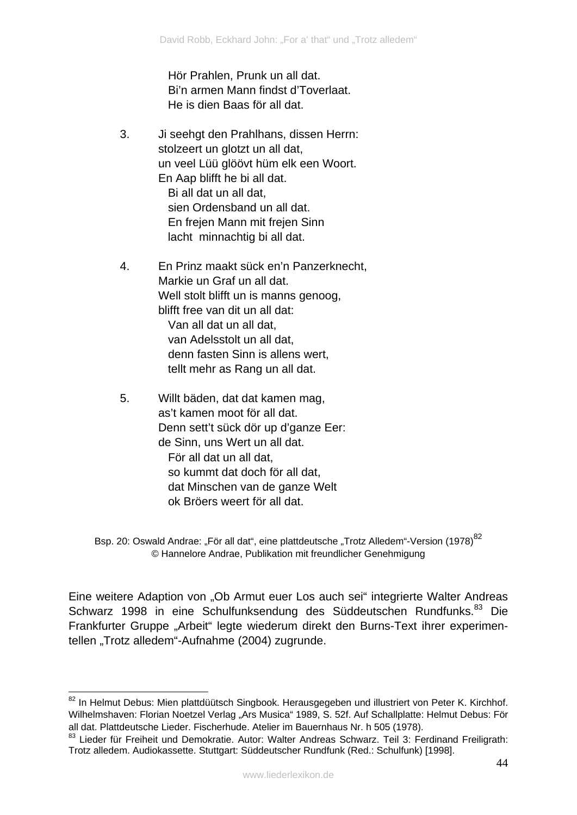Hör Prahlen, Prunk un all dat. Bi'n armen Mann findst d'Toverlaat. He is dien Baas för all dat.

- 3. Ji seehgt den Prahlhans, dissen Herrn: stolzeert un glotzt un all dat, un veel Lüü glöövt hüm elk een Woort. En Aap blifft he bi all dat. Bi all dat un all dat, sien Ordensband un all dat. En frejen Mann mit frejen Sinn lacht minnachtig bi all dat.
- 4. En Prinz maakt sück en'n Panzerknecht, Markie un Graf un all dat. Well stolt blifft un is manns genoog, blifft free van dit un all dat: Van all dat un all dat, van Adelsstolt un all dat, denn fasten Sinn is allens wert, tellt mehr as Rang un all dat.
- 5. Willt bäden, dat dat kamen mag, as't kamen moot för all dat. Denn sett't sück dör up d'ganze Eer: de Sinn, uns Wert un all dat. För all dat un all dat, so kummt dat doch för all dat, dat Minschen van de ganze Welt ok Bröers weert för all dat.

1

Eine weitere Adaption von "Ob Armut euer Los auch sei" integrierte Walter Andreas Schwarz 1998 in eine Schulfunksendung des Süddeutschen Rundfunks.<sup>83</sup> Die Frankfurter Gruppe "Arbeit" legte wiederum direkt den Burns-Text ihrer experimentellen "Trotz alledem"-Aufnahme (2004) zugrunde.

Bsp. 20: Oswald Andrae: "För all dat", eine plattdeutsche "Trotz Alledem"-Version (1978)<sup>82</sup> © Hannelore Andrae, Publikation mit freundlicher Genehmigung

 $82$  In Helmut Debus: Mien plattdüütsch Singbook. Herausgegeben und illustriert von Peter K. Kirchhof. Wilhelmshaven: Florian Noetzel Verlag "Ars Musica" 1989, S. 52f. Auf Schallplatte: Helmut Debus: För all dat. Plattdeutsche Lieder. Fischerhude. Atelier im Bauernhaus Nr. h 505 (1978).

<sup>83</sup> Lieder für Freiheit und Demokratie. Autor: Walter Andreas Schwarz. Teil 3: Ferdinand Freiligrath: Trotz alledem. Audiokassette. Stuttgart: Süddeutscher Rundfunk (Red.: Schulfunk) [1998].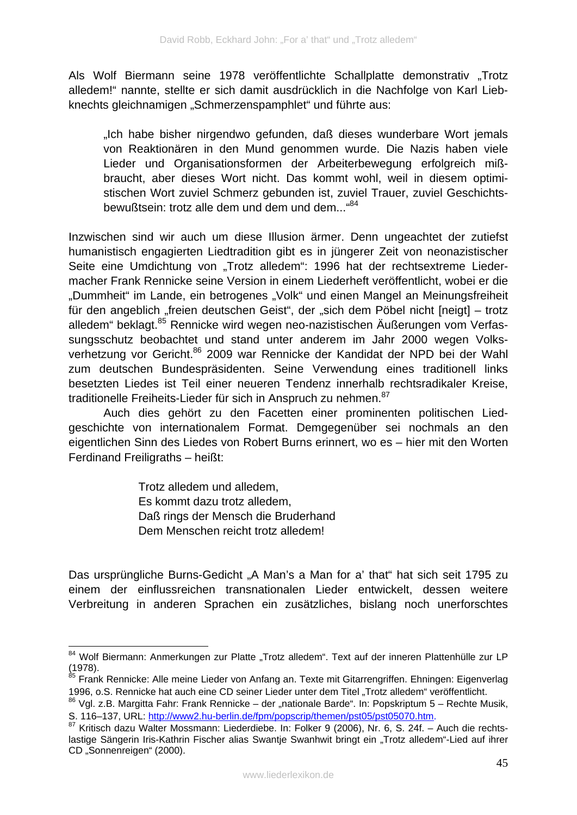Als Wolf Biermann seine 1978 veröffentlichte Schallplatte demonstrativ "Trotz alledem!" nannte, stellte er sich damit ausdrücklich in die Nachfolge von Karl Liebknechts gleichnamigen "Schmerzenspamphlet" und führte aus:

"Ich habe bisher nirgendwo gefunden, daß dieses wunderbare Wort jemals von Reaktionären in den Mund genommen wurde. Die Nazis haben viele Lieder und Organisationsformen der Arbeiterbewegung erfolgreich mißbraucht, aber dieses Wort nicht. Das kommt wohl, weil in diesem optimistischen Wort zuviel Schmerz gebunden ist, zuviel Trauer, zuviel Geschichtsbewußtsein: trotz alle dem und dem und dem...<sup>484</sup>

Inzwischen sind wir auch um diese Illusion ärmer. Denn ungeachtet der zutiefst humanistisch engagierten Liedtradition gibt es in jüngerer Zeit von neonazistischer Seite eine Umdichtung von "Trotz alledem": 1996 hat der rechtsextreme Liedermacher Frank Rennicke seine Version in einem Liederheft veröffentlicht, wobei er die "Dummheit" im Lande, ein betrogenes "Volk" und einen Mangel an Meinungsfreiheit für den angeblich "freien deutschen Geist", der "sich dem Pöbel nicht [neigt] – trotz alledem" beklagt.85 Rennicke wird wegen neo-nazistischen Äußerungen vom Verfassungsschutz beobachtet und stand unter anderem im Jahr 2000 wegen Volksverhetzung vor Gericht.<sup>86</sup> 2009 war Rennicke der Kandidat der NPD bei der Wahl zum deutschen Bundespräsidenten. Seine Verwendung eines traditionell links besetzten Liedes ist Teil einer neueren Tendenz innerhalb rechtsradikaler Kreise, traditionelle Freiheits-Lieder für sich in Anspruch zu nehmen.<sup>87</sup>

Auch dies gehört zu den Facetten einer prominenten politischen Liedgeschichte von internationalem Format. Demgegenüber sei nochmals an den eigentlichen Sinn des Liedes von Robert Burns erinnert, wo es – hier mit den Worten Ferdinand Freiligraths – heißt:

> Trotz alledem und alledem, Es kommt dazu trotz alledem, Daß rings der Mensch die Bruderhand Dem Menschen reicht trotz alledem!

Das ursprüngliche Burns-Gedicht "A Man's a Man for a' that" hat sich seit 1795 zu einem der einflussreichen transnationalen Lieder entwickelt, dessen weitere Verbreitung in anderen Sprachen ein zusätzliches, bislang noch unerforschtes

<sup>1</sup> 84 Wolf Biermann: Anmerkungen zur Platte "Trotz alledem". Text auf der inneren Plattenhülle zur LP (1978).

<sup>&</sup>lt;sup>85</sup> Frank Rennicke: Alle meine Lieder von Anfang an. Texte mit Gitarrengriffen. Ehningen: Eigenverlag 1996, o.S. Rennicke hat auch eine CD seiner Lieder unter dem Titel "Trotz alledem" veröffentlicht.

 $86$  Vgl. z.B. Margitta Fahr: Frank Rennicke – der "nationale Barde". In: Popskriptum 5 – Rechte Musik, S. 116–137, URL: http://www2.hu-berlin.de/fpm/popscrip/themen/pst05/pst05070.htm.

<sup>87</sup> Kritisch dazu Walter Mossmann: Liederdiebe. In: Folker 9 (2006), Nr. 6, S. 24f. – Auch die rechtslastige Sängerin Iris-Kathrin Fischer alias Swantje Swanhwit bringt ein "Trotz alledem"-Lied auf ihrer CD "Sonnenreigen" (2000).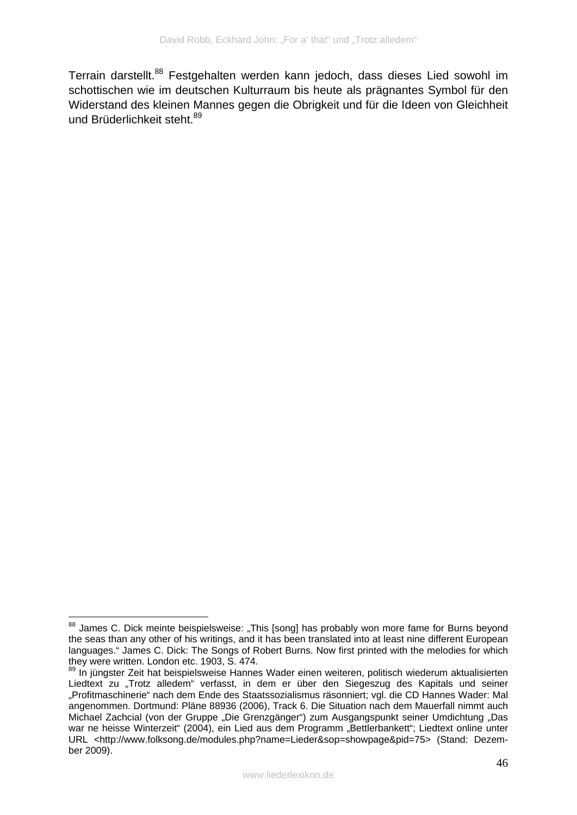Terrain darstellt.<sup>88</sup> Festgehalten werden kann jedoch, dass dieses Lied sowohl im schottischen wie im deutschen Kulturraum bis heute als prägnantes Symbol für den Widerstand des kleinen Mannes gegen die Obrigkeit und für die Ideen von Gleichheit und Brüderlichkeit steht.<sup>89</sup>

<sup>1</sup> <sup>88</sup> James C. Dick meinte beispielsweise: "This [song] has probably won more fame for Burns beyond the seas than any other of his writings, and it has been translated into at least nine different European languages." James C. Dick: The Songs of Robert Burns. Now first printed with the melodies for which they were written. London etc. 1903, S. 474.

<sup>89</sup> In jüngster Zeit hat beispielsweise Hannes Wader einen weiteren, politisch wiederum aktualisierten Liedtext zu "Trotz alledem" verfasst, in dem er über den Siegeszug des Kapitals und seiner "Profitmaschinerie" nach dem Ende des Staatssozialismus räsonniert; vgl. die CD Hannes Wader: Mal angenommen. Dortmund: Pläne 88936 (2006), Track 6. Die Situation nach dem Mauerfall nimmt auch Michael Zachcial (von der Gruppe "Die Grenzgänger") zum Ausgangspunkt seiner Umdichtung "Das war ne heisse Winterzeit" (2004), ein Lied aus dem Programm "Bettlerbankett"; Liedtext online unter URL <http://www.folksong.de/modules.php?name=Lieder&sop=showpage&pid=75> (Stand: Dezember 2009).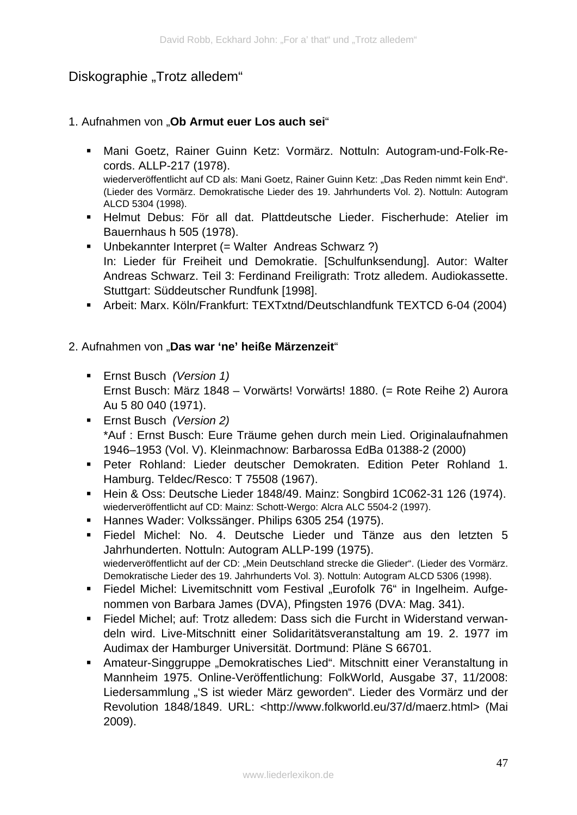# Diskographie "Trotz alledem"

#### 1. Aufnahmen von "**Ob Armut euer Los auch sei**"

- Mani Goetz, Rainer Guinn Ketz: Vormärz. Nottuln: Autogram-und-Folk-Records. ALLP-217 (1978). wiederveröffentlicht auf CD als: Mani Goetz, Rainer Guinn Ketz: "Das Reden nimmt kein End". (Lieder des Vormärz. Demokratische Lieder des 19. Jahrhunderts Vol. 2). Nottuln: Autogram ALCD 5304 (1998).
- Helmut Debus: För all dat. Plattdeutsche Lieder. Fischerhude: Atelier im Bauernhaus h 505 (1978).
- Unbekannter Interpret (= Walter Andreas Schwarz ?) In: Lieder für Freiheit und Demokratie. [Schulfunksendung]. Autor: Walter Andreas Schwarz. Teil 3: Ferdinand Freiligrath: Trotz alledem. Audiokassette. Stuttgart: Süddeutscher Rundfunk [1998].
- Arbeit: Marx. Köln/Frankfurt: TEXTxtnd/Deutschlandfunk TEXTCD 6-04 (2004)

#### 2. Aufnahmen von "Das war 'ne' heiße Märzenzeit"

- Ernst Busch *(Version 1)* Ernst Busch: März 1848 – Vorwärts! Vorwärts! 1880. (= Rote Reihe 2) Aurora Au 5 80 040 (1971).
- Ernst Busch *(Version 2)* \*Auf : Ernst Busch: Eure Träume gehen durch mein Lied. Originalaufnahmen 1946–1953 (Vol. V). Kleinmachnow: Barbarossa EdBa 01388-2 (2000)
- Peter Rohland: Lieder deutscher Demokraten. Edition Peter Rohland 1. Hamburg. Teldec/Resco: T 75508 (1967).
- Hein & Oss: Deutsche Lieder 1848/49. Mainz: Songbird 1C062-31 126 (1974). wiederveröffentlicht auf CD: Mainz: Schott-Wergo: Alcra ALC 5504-2 (1997).
- Hannes Wader: Volkssänger. Philips 6305 254 (1975).
- Fiedel Michel: No. 4. Deutsche Lieder und Tänze aus den letzten 5 Jahrhunderten. Nottuln: Autogram ALLP-199 (1975). wiederveröffentlicht auf der CD: "Mein Deutschland strecke die Glieder". (Lieder des Vormärz. Demokratische Lieder des 19. Jahrhunderts Vol. 3). Nottuln: Autogram ALCD 5306 (1998).
- Fiedel Michel: Livemitschnitt vom Festival "Eurofolk 76" in Ingelheim. Aufgenommen von Barbara James (DVA), Pfingsten 1976 (DVA: Mag. 341).
- Fiedel Michel; auf: Trotz alledem: Dass sich die Furcht in Widerstand verwandeln wird. Live-Mitschnitt einer Solidaritätsveranstaltung am 19. 2. 1977 im Audimax der Hamburger Universität. Dortmund: Pläne S 66701.
- Amateur-Singgruppe "Demokratisches Lied". Mitschnitt einer Veranstaltung in Mannheim 1975. Online-Veröffentlichung: FolkWorld, Ausgabe 37, 11/2008: Liedersammlung "'S ist wieder März geworden". Lieder des Vormärz und der Revolution 1848/1849. URL: <http://www.folkworld.eu/37/d/maerz.html> (Mai 2009).